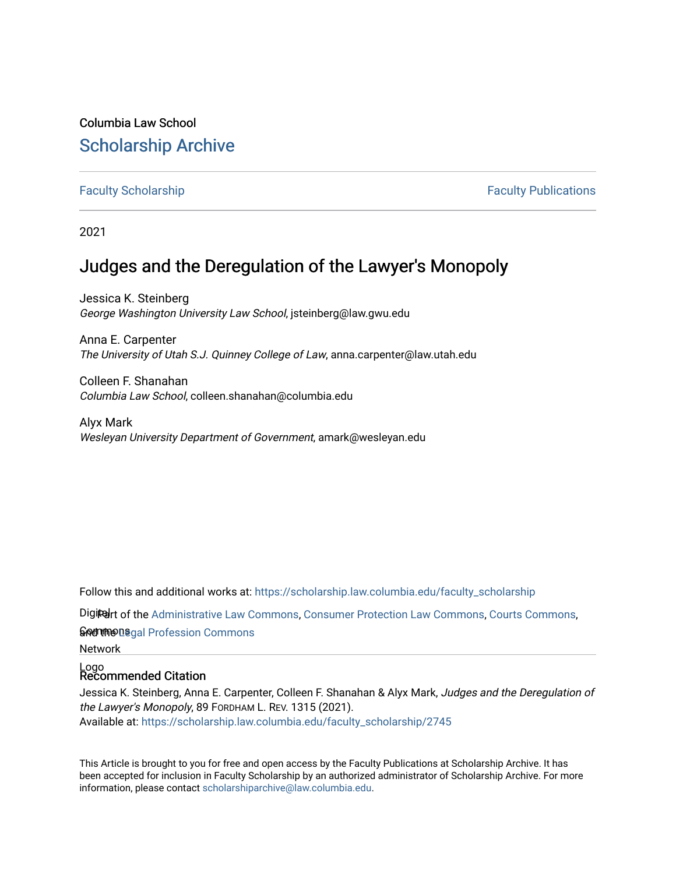## Columbia Law School [Scholarship Archive](https://scholarship.law.columbia.edu/)

[Faculty Scholarship](https://scholarship.law.columbia.edu/faculty_scholarship) **Faculty Scholarship Faculty Publications** 

2021

## Judges and the Deregulation of the Lawyer's Monopoly

Jessica K. Steinberg George Washington University Law School, jsteinberg@law.gwu.edu

Anna E. Carpenter The University of Utah S.J. Quinney College of Law, anna.carpenter@law.utah.edu

Colleen F. Shanahan Columbia Law School, colleen.shanahan@columbia.edu

Alyx Mark Wesleyan University Department of Government, amark@wesleyan.edu

Follow this and additional works at: [https://scholarship.law.columbia.edu/faculty\\_scholarship](https://scholarship.law.columbia.edu/faculty_scholarship?utm_source=scholarship.law.columbia.edu%2Ffaculty_scholarship%2F2745&utm_medium=PDF&utm_campaign=PDFCoverPages)

Digiter of the [Administrative Law Commons,](http://network.bepress.com/hgg/discipline/579?utm_source=scholarship.law.columbia.edu%2Ffaculty_scholarship%2F2745&utm_medium=PDF&utm_campaign=PDFCoverPages) [Consumer Protection Law Commons,](http://network.bepress.com/hgg/discipline/838?utm_source=scholarship.law.columbia.edu%2Ffaculty_scholarship%2F2745&utm_medium=PDF&utm_campaign=PDFCoverPages) [Courts Commons,](http://network.bepress.com/hgg/discipline/839?utm_source=scholarship.law.columbia.edu%2Ffaculty_scholarship%2F2745&utm_medium=PDF&utm_campaign=PDFCoverPages)

ନ<del>ିନ</del>୍ଧୀ the Degal Profession Commons

Network

# Logo Recommended Citation

Jessica K. Steinberg, Anna E. Carpenter, Colleen F. Shanahan & Alyx Mark, Judges and the Deregulation of the Lawyer's Monopoly, 89 FORDHAM L. REV. 1315 (2021). Available at: [https://scholarship.law.columbia.edu/faculty\\_scholarship/2745](https://scholarship.law.columbia.edu/faculty_scholarship/2745?utm_source=scholarship.law.columbia.edu%2Ffaculty_scholarship%2F2745&utm_medium=PDF&utm_campaign=PDFCoverPages)

This Article is brought to you for free and open access by the Faculty Publications at Scholarship Archive. It has been accepted for inclusion in Faculty Scholarship by an authorized administrator of Scholarship Archive. For more information, please contact [scholarshiparchive@law.columbia.edu.](mailto:scholarshiparchive@law.columbia.edu)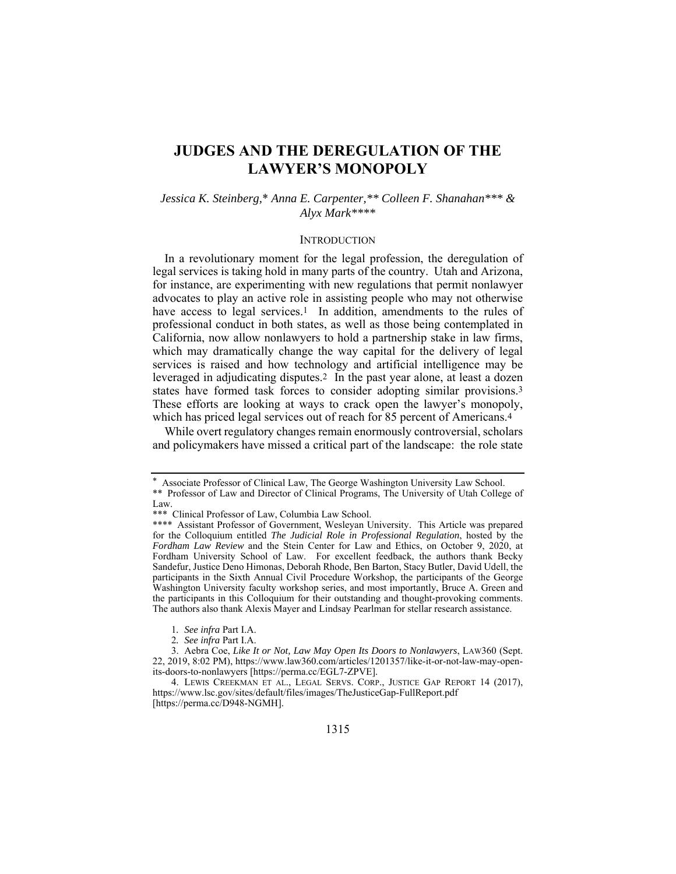### **JUDGES AND THE DEREGULATION OF THE LAWYER'S MONOPOLY**

#### *Jessica K. Steinberg,*\* *Anna E. Carpenter,\*\* Colleen F. Shanahan\*\*\* & Alyx Mark\*\*\*\**

#### **INTRODUCTION**

In a revolutionary moment for the legal profession, the deregulation of legal services is taking hold in many parts of the country. Utah and Arizona, for instance, are experimenting with new regulations that permit nonlawyer advocates to play an active role in assisting people who may not otherwise have access to legal services.<sup>1</sup> In addition, amendments to the rules of professional conduct in both states, as well as those being contemplated in California, now allow nonlawyers to hold a partnership stake in law firms, which may dramatically change the way capital for the delivery of legal services is raised and how technology and artificial intelligence may be leveraged in adjudicating disputes.2 In the past year alone, at least a dozen states have formed task forces to consider adopting similar provisions.3 These efforts are looking at ways to crack open the lawyer's monopoly, which has priced legal services out of reach for 85 percent of Americans.4

While overt regulatory changes remain enormously controversial, scholars and policymakers have missed a critical part of the landscape: the role state

Associate Professor of Clinical Law, The George Washington University Law School.

<sup>\*\*</sup> Professor of Law and Director of Clinical Programs, The University of Utah College of Law.

<sup>\*\*\*</sup> Clinical Professor of Law, Columbia Law School.

<sup>\*\*\*\*</sup> Assistant Professor of Government, Wesleyan University. This Article was prepared for the Colloquium entitled *The Judicial Role in Professional Regulation*, hosted by the *Fordham Law Review* and the Stein Center for Law and Ethics, on October 9, 2020, at Fordham University School of Law. For excellent feedback, the authors thank Becky Sandefur, Justice Deno Himonas, Deborah Rhode, Ben Barton, Stacy Butler, David Udell, the participants in the Sixth Annual Civil Procedure Workshop, the participants of the George Washington University faculty workshop series, and most importantly, Bruce A. Green and the participants in this Colloquium for their outstanding and thought-provoking comments. The authors also thank Alexis Mayer and Lindsay Pearlman for stellar research assistance.

<sup>1</sup>*. See infra* Part I.A.

<sup>2</sup>*. See infra* Part I.A.

 <sup>3.</sup> Aebra Coe, *Like It or Not, Law May Open Its Doors to Nonlawyers*, LAW360 (Sept. 22, 2019, 8:02 PM), https://www.law360.com/articles/1201357/like-it-or-not-law-may-openits-doors-to-nonlawyers [https://perma.cc/EGL7-ZPVE].

 <sup>4.</sup> LEWIS CREEKMAN ET AL., LEGAL SERVS. CORP., JUSTICE GAP REPORT 14 (2017), https://www.lsc.gov/sites/default/files/images/TheJusticeGap-FullReport.pdf [https://perma.cc/D948-NGMH].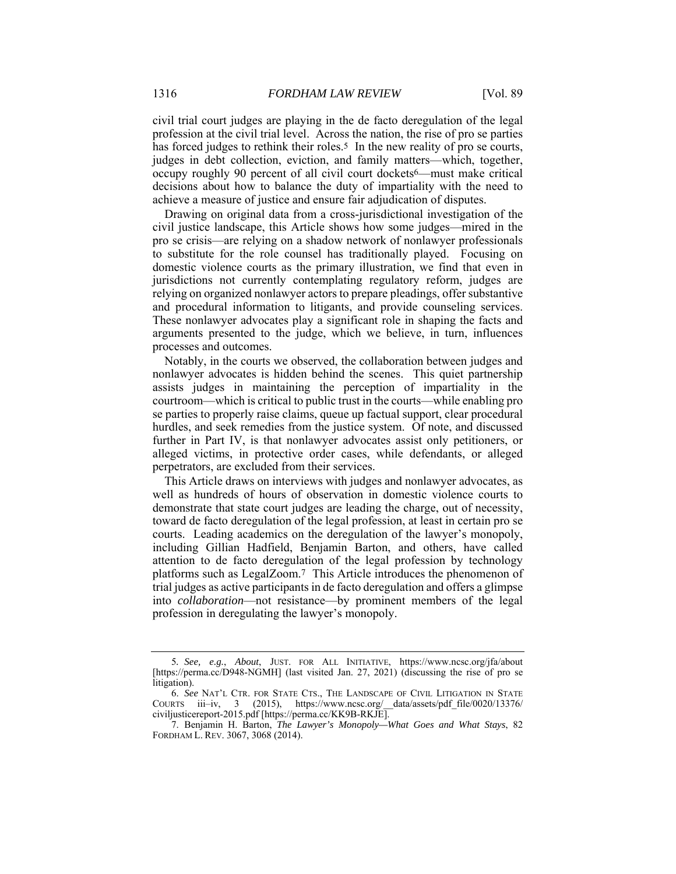civil trial court judges are playing in the de facto deregulation of the legal profession at the civil trial level. Across the nation, the rise of pro se parties has forced judges to rethink their roles.<sup>5</sup> In the new reality of pro se courts, judges in debt collection, eviction, and family matters—which, together, occupy roughly 90 percent of all civil court dockets6—must make critical decisions about how to balance the duty of impartiality with the need to achieve a measure of justice and ensure fair adjudication of disputes.

Drawing on original data from a cross-jurisdictional investigation of the civil justice landscape, this Article shows how some judges—mired in the pro se crisis—are relying on a shadow network of nonlawyer professionals to substitute for the role counsel has traditionally played. Focusing on domestic violence courts as the primary illustration, we find that even in jurisdictions not currently contemplating regulatory reform, judges are relying on organized nonlawyer actors to prepare pleadings, offer substantive and procedural information to litigants, and provide counseling services. These nonlawyer advocates play a significant role in shaping the facts and arguments presented to the judge, which we believe, in turn, influences processes and outcomes.

Notably, in the courts we observed, the collaboration between judges and nonlawyer advocates is hidden behind the scenes. This quiet partnership assists judges in maintaining the perception of impartiality in the courtroom—which is critical to public trust in the courts—while enabling pro se parties to properly raise claims, queue up factual support, clear procedural hurdles, and seek remedies from the justice system. Of note, and discussed further in Part IV, is that nonlawyer advocates assist only petitioners, or alleged victims, in protective order cases, while defendants, or alleged perpetrators, are excluded from their services.

This Article draws on interviews with judges and nonlawyer advocates, as well as hundreds of hours of observation in domestic violence courts to demonstrate that state court judges are leading the charge, out of necessity, toward de facto deregulation of the legal profession, at least in certain pro se courts. Leading academics on the deregulation of the lawyer's monopoly, including Gillian Hadfield, Benjamin Barton, and others, have called attention to de facto deregulation of the legal profession by technology platforms such as LegalZoom.7 This Article introduces the phenomenon of trial judges as active participants in de facto deregulation and offers a glimpse into *collaboration*—not resistance—by prominent members of the legal profession in deregulating the lawyer's monopoly.

<sup>5</sup>*. See, e.g.*, *About*, JUST. FOR ALL INITIATIVE, https://www.ncsc.org/jfa/about [https://perma.cc/D948-NGMH] (last visited Jan. 27, 2021) (discussing the rise of pro se litigation).

 <sup>6.</sup> *See* NAT'L CTR. FOR STATE CTS., THE LANDSCAPE OF CIVIL LITIGATION IN STATE COURTS iii–iv, 3 (2015), https://www.ncsc.org/\_\_data/assets/pdf\_file/0020/13376/ civiljusticereport-2015.pdf [https://perma.cc/KK9B-RKJE].

 <sup>7.</sup> Benjamin H. Barton, *The Lawyer's Monopoly—What Goes and What Stays*, 82 FORDHAM L. REV. 3067, 3068 (2014).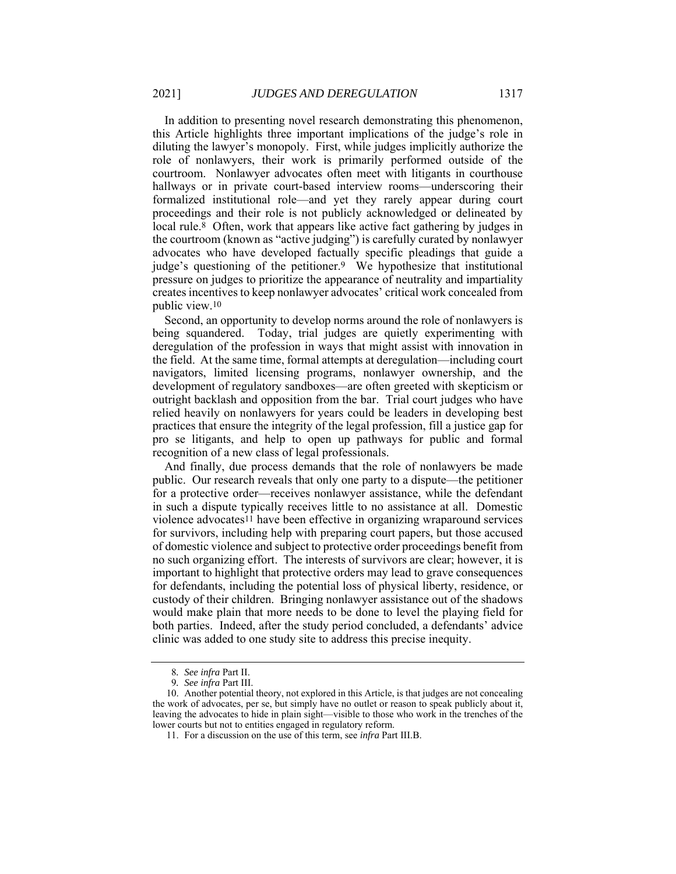In addition to presenting novel research demonstrating this phenomenon, this Article highlights three important implications of the judge's role in diluting the lawyer's monopoly. First, while judges implicitly authorize the role of nonlawyers, their work is primarily performed outside of the courtroom. Nonlawyer advocates often meet with litigants in courthouse hallways or in private court-based interview rooms—underscoring their formalized institutional role—and yet they rarely appear during court proceedings and their role is not publicly acknowledged or delineated by local rule.<sup>8</sup> Often, work that appears like active fact gathering by judges in the courtroom (known as "active judging") is carefully curated by nonlawyer advocates who have developed factually specific pleadings that guide a judge's questioning of the petitioner.9 We hypothesize that institutional pressure on judges to prioritize the appearance of neutrality and impartiality creates incentives to keep nonlawyer advocates' critical work concealed from public view.10

Second, an opportunity to develop norms around the role of nonlawyers is being squandered. Today, trial judges are quietly experimenting with deregulation of the profession in ways that might assist with innovation in the field. At the same time, formal attempts at deregulation—including court navigators, limited licensing programs, nonlawyer ownership, and the development of regulatory sandboxes—are often greeted with skepticism or outright backlash and opposition from the bar. Trial court judges who have relied heavily on nonlawyers for years could be leaders in developing best practices that ensure the integrity of the legal profession, fill a justice gap for pro se litigants, and help to open up pathways for public and formal recognition of a new class of legal professionals.

And finally, due process demands that the role of nonlawyers be made public. Our research reveals that only one party to a dispute—the petitioner for a protective order—receives nonlawyer assistance, while the defendant in such a dispute typically receives little to no assistance at all. Domestic violence advocates11 have been effective in organizing wraparound services for survivors, including help with preparing court papers, but those accused of domestic violence and subject to protective order proceedings benefit from no such organizing effort. The interests of survivors are clear; however, it is important to highlight that protective orders may lead to grave consequences for defendants, including the potential loss of physical liberty, residence, or custody of their children. Bringing nonlawyer assistance out of the shadows would make plain that more needs to be done to level the playing field for both parties. Indeed, after the study period concluded, a defendants' advice clinic was added to one study site to address this precise inequity.

<sup>8</sup>*. See infra* Part II.

<sup>9</sup>*. See infra* Part III.

 <sup>10.</sup> Another potential theory, not explored in this Article, is that judges are not concealing the work of advocates, per se, but simply have no outlet or reason to speak publicly about it, leaving the advocates to hide in plain sight—visible to those who work in the trenches of the lower courts but not to entities engaged in regulatory reform.

 <sup>11.</sup> For a discussion on the use of this term, see *infra* Part III.B.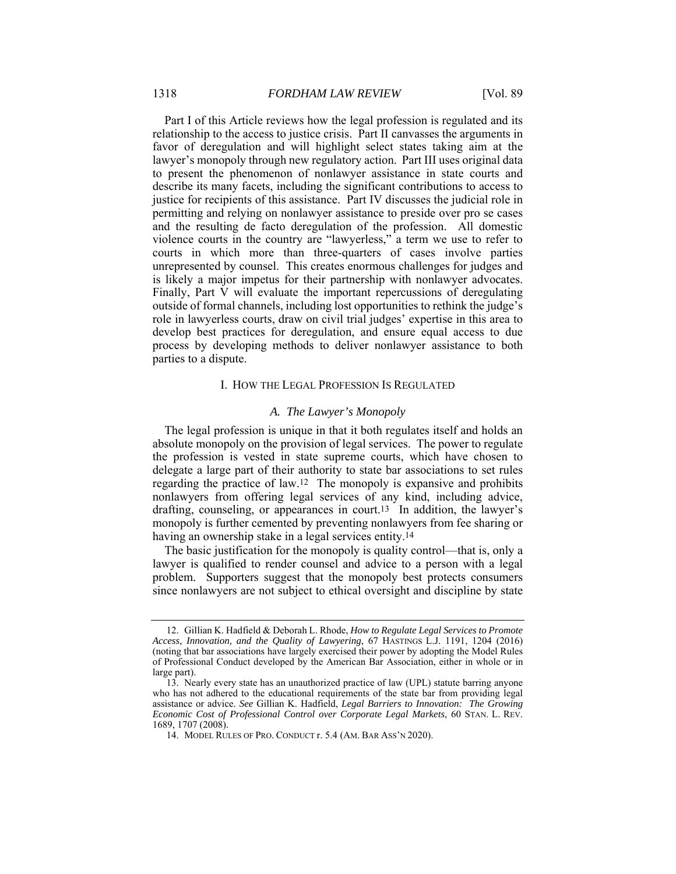Part I of this Article reviews how the legal profession is regulated and its relationship to the access to justice crisis. Part II canvasses the arguments in favor of deregulation and will highlight select states taking aim at the lawyer's monopoly through new regulatory action. Part III uses original data to present the phenomenon of nonlawyer assistance in state courts and describe its many facets, including the significant contributions to access to justice for recipients of this assistance. Part IV discusses the judicial role in permitting and relying on nonlawyer assistance to preside over pro se cases and the resulting de facto deregulation of the profession. All domestic violence courts in the country are "lawyerless," a term we use to refer to courts in which more than three-quarters of cases involve parties unrepresented by counsel. This creates enormous challenges for judges and is likely a major impetus for their partnership with nonlawyer advocates. Finally, Part V will evaluate the important repercussions of deregulating outside of formal channels, including lost opportunities to rethink the judge's role in lawyerless courts, draw on civil trial judges' expertise in this area to develop best practices for deregulation, and ensure equal access to due process by developing methods to deliver nonlawyer assistance to both parties to a dispute.

#### I. HOW THE LEGAL PROFESSION IS REGULATED

#### *A. The Lawyer's Monopoly*

The legal profession is unique in that it both regulates itself and holds an absolute monopoly on the provision of legal services. The power to regulate the profession is vested in state supreme courts, which have chosen to delegate a large part of their authority to state bar associations to set rules regarding the practice of law.12 The monopoly is expansive and prohibits nonlawyers from offering legal services of any kind, including advice, drafting, counseling, or appearances in court.13 In addition, the lawyer's monopoly is further cemented by preventing nonlawyers from fee sharing or having an ownership stake in a legal services entity.14

The basic justification for the monopoly is quality control—that is, only a lawyer is qualified to render counsel and advice to a person with a legal problem. Supporters suggest that the monopoly best protects consumers since nonlawyers are not subject to ethical oversight and discipline by state

 <sup>12.</sup> Gillian K. Hadfield & Deborah L. Rhode, *How to Regulate Legal Services to Promote Access, Innovation, and the Quality of Lawyering*, 67 HASTINGS L.J. 1191, 1204 (2016) (noting that bar associations have largely exercised their power by adopting the Model Rules of Professional Conduct developed by the American Bar Association, either in whole or in large part).

 <sup>13.</sup> Nearly every state has an unauthorized practice of law (UPL) statute barring anyone who has not adhered to the educational requirements of the state bar from providing legal assistance or advice. *See* Gillian K. Hadfield, *Legal Barriers to Innovation: The Growing Economic Cost of Professional Control over Corporate Legal Markets*, 60 STAN. L. REV. 1689, 1707 (2008).

 <sup>14.</sup> MODEL RULES OF PRO. CONDUCT r. 5.4 (AM. BAR ASS'N 2020).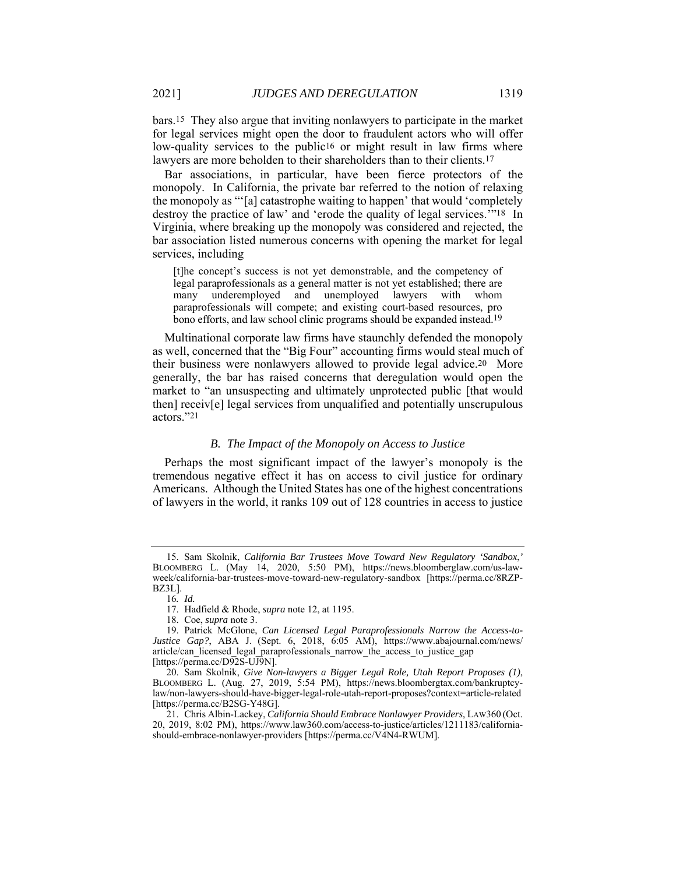bars.15 They also argue that inviting nonlawyers to participate in the market for legal services might open the door to fraudulent actors who will offer low-quality services to the public<sup>16</sup> or might result in law firms where lawyers are more beholden to their shareholders than to their clients.<sup>17</sup>

Bar associations, in particular, have been fierce protectors of the monopoly. In California, the private bar referred to the notion of relaxing the monopoly as "'[a] catastrophe waiting to happen' that would 'completely destroy the practice of law' and 'erode the quality of legal services.<sup>""18</sup> In Virginia, where breaking up the monopoly was considered and rejected, the bar association listed numerous concerns with opening the market for legal services, including

[t]he concept's success is not yet demonstrable, and the competency of legal paraprofessionals as a general matter is not yet established; there are many underemployed and unemployed lawyers with whom paraprofessionals will compete; and existing court-based resources, pro bono efforts, and law school clinic programs should be expanded instead.19

Multinational corporate law firms have staunchly defended the monopoly as well, concerned that the "Big Four" accounting firms would steal much of their business were nonlawyers allowed to provide legal advice.20 More generally, the bar has raised concerns that deregulation would open the market to "an unsuspecting and ultimately unprotected public [that would then] receiv[e] legal services from unqualified and potentially unscrupulous actors."21

#### *B. The Impact of the Monopoly on Access to Justice*

Perhaps the most significant impact of the lawyer's monopoly is the tremendous negative effect it has on access to civil justice for ordinary Americans. Although the United States has one of the highest concentrations of lawyers in the world, it ranks 109 out of 128 countries in access to justice

 <sup>15.</sup> Sam Skolnik, *California Bar Trustees Move Toward New Regulatory 'Sandbox*,*'* BLOOMBERG L. (May 14, 2020, 5:50 PM), https://news.bloomberglaw.com/us-lawweek/california-bar-trustees-move-toward-new-regulatory-sandbox [https://perma.cc/8RZP-BZ3L].

<sup>16</sup>*. Id.*

 <sup>17.</sup> Hadfield & Rhode, *supra* note 12, at 1195.

 <sup>18.</sup> Coe, *supra* note 3.

 <sup>19.</sup> Patrick McGlone, *Can Licensed Legal Paraprofessionals Narrow the Access-to-Justice Gap?*, ABA J. (Sept. 6, 2018, 6:05 AM), https://www.abajournal.com/news/ article/can\_licensed\_legal\_paraprofessionals\_narrow\_the\_access\_to\_justice\_gap [https://perma.cc/D92S-UJ9N].

 <sup>20.</sup> Sam Skolnik, *Give Non-lawyers a Bigger Legal Role, Utah Report Proposes (1)*, BLOOMBERG L. (Aug. 27, 2019, 5:54 PM), https://news.bloombergtax.com/bankruptcylaw/non-lawyers-should-have-bigger-legal-role-utah-report-proposes?context=article-related [https://perma.cc/B2SG-Y48G].

 <sup>21.</sup> Chris Albin-Lackey, *California Should Embrace Nonlawyer Providers*, LAW360 (Oct. 20, 2019, 8:02 PM), https://www.law360.com/access-to-justice/articles/1211183/californiashould-embrace-nonlawyer-providers [https://perma.cc/V4N4-RWUM].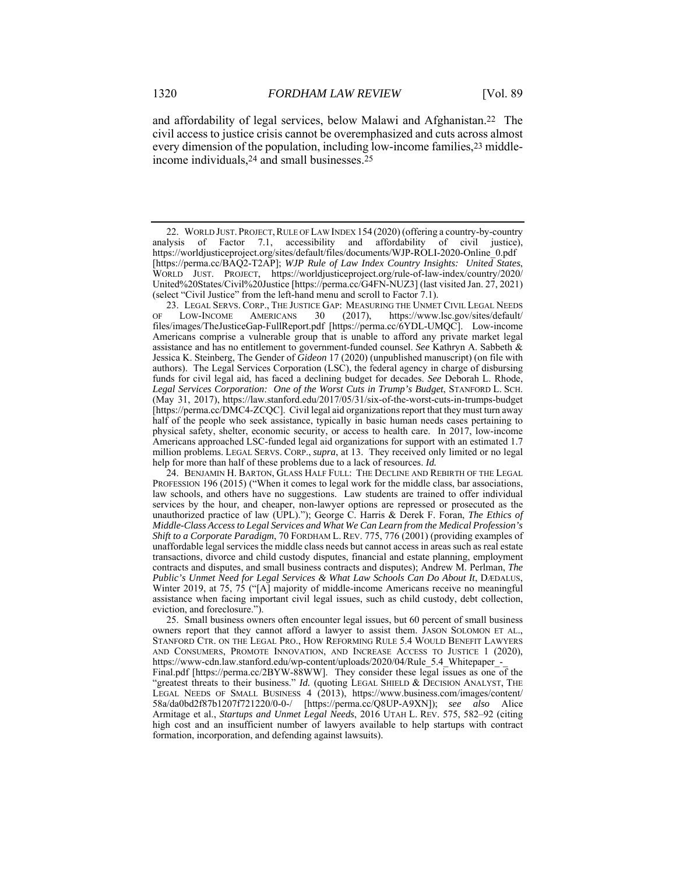and affordability of legal services, below Malawi and Afghanistan.22 The civil access to justice crisis cannot be overemphasized and cuts across almost every dimension of the population, including low-income families,23 middleincome individuals,24 and small businesses.25

 23. LEGAL SERVS. CORP., THE JUSTICE GAP: MEASURING THE UNMET CIVIL LEGAL NEEDS OF LOW-INCOME AMERICANS 30 (2017), https://www.lsc.gov/sites/default/ files/images/TheJusticeGap-FullReport.pdf [https://perma.cc/6YDL-UMQC]. Low-income Americans comprise a vulnerable group that is unable to afford any private market legal assistance and has no entitlement to government-funded counsel. *See* Kathryn A. Sabbeth & Jessica K. Steinberg, The Gender of *Gideon* 17 (2020) (unpublished manuscript) (on file with authors). The Legal Services Corporation (LSC), the federal agency in charge of disbursing funds for civil legal aid, has faced a declining budget for decades. *See* Deborah L. Rhode, *Legal Services Corporation: One of the Worst Cuts in Trump's Budget*, STANFORD L. SCH. (May 31, 2017), https://law.stanford.edu/2017/05/31/six-of-the-worst-cuts-in-trumps-budget [https://perma.cc/DMC4-ZCQC]. Civil legal aid organizations report that they must turn away half of the people who seek assistance, typically in basic human needs cases pertaining to physical safety, shelter, economic security, or access to health care. In 2017, low-income Americans approached LSC-funded legal aid organizations for support with an estimated 1.7 million problems. LEGAL SERVS. CORP., *supra*, at 13. They received only limited or no legal help for more than half of these problems due to a lack of resources. *Id.*

 24. BENJAMIN H. BARTON, GLASS HALF FULL: THE DECLINE AND REBIRTH OF THE LEGAL PROFESSION 196 (2015) ("When it comes to legal work for the middle class, bar associations, law schools, and others have no suggestions. Law students are trained to offer individual services by the hour, and cheaper, non-lawyer options are repressed or prosecuted as the unauthorized practice of law (UPL)."); George C. Harris & Derek F. Foran, *The Ethics of Middle-Class Access to Legal Services and What We Can Learn from the Medical Profession's Shift to a Corporate Paradigm*, 70 FORDHAM L. REV. 775, 776 (2001) (providing examples of unaffordable legal services the middle class needs but cannot access in areas such as real estate transactions, divorce and child custody disputes, financial and estate planning, employment contracts and disputes, and small business contracts and disputes); Andrew M. Perlman, *The Public's Unmet Need for Legal Services & What Law Schools Can Do About It*, DÆDALUS, Winter 2019, at 75, 75 ("[A] majority of middle-income Americans receive no meaningful assistance when facing important civil legal issues, such as child custody, debt collection, eviction, and foreclosure.").

 25. Small business owners often encounter legal issues, but 60 percent of small business owners report that they cannot afford a lawyer to assist them. JASON SOLOMON ET AL., STANFORD CTR. ON THE LEGAL PRO., HOW REFORMING RULE 5.4 WOULD BENEFIT LAWYERS AND CONSUMERS, PROMOTE INNOVATION, AND INCREASE ACCESS TO JUSTICE 1 (2020), https://www-cdn.law.stanford.edu/wp-content/uploads/2020/04/Rule\_5.4\_Whitepaper\_ Final.pdf [https://perma.cc/2BYW-88WW]. They consider these legal issues as one of the "greatest threats to their business." *Id.* (quoting LEGAL SHIELD & DECISION ANALYST, THE LEGAL NEEDS OF SMALL BUSINESS 4 (2013), https://www.business.com/images/content/ 58a/da0bd2f87b1207f721220/0-0-/ [https://perma.cc/Q8UP-A9XN]); *see also* Alice Armitage et al., *Startups and Unmet Legal Needs*, 2016 UTAH L. REV. 575, 582–92 (citing high cost and an insufficient number of lawyers available to help startups with contract formation, incorporation, and defending against lawsuits).

 <sup>22.</sup> WORLD JUST. PROJECT,RULE OF LAW INDEX 154 (2020) (offering a country-by-country analysis of Factor 7.1, accessibility and affordability of civil justice), https://worldjusticeproject.org/sites/default/files/documents/WJP-ROLI-2020-Online\_0.pdf [https://perma.cc/BAQ2-T2AP]; *WJP Rule of Law Index Country Insights: United States*, WORLD JUST. PROJECT, https://worldjusticeproject.org/rule-of-law-index/country/2020/ United%20States/Civil%20Justice [https://perma.cc/G4FN-NUZ3] (last visited Jan. 27, 2021) (select "Civil Justice" from the left-hand menu and scroll to Factor 7.1).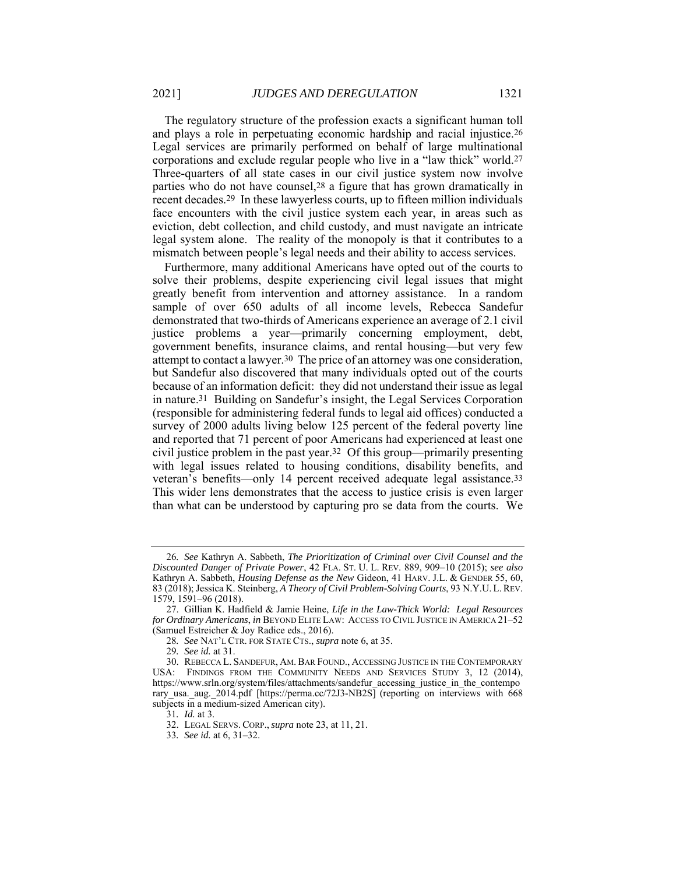The regulatory structure of the profession exacts a significant human toll and plays a role in perpetuating economic hardship and racial injustice.26 Legal services are primarily performed on behalf of large multinational corporations and exclude regular people who live in a "law thick" world.27 Three-quarters of all state cases in our civil justice system now involve parties who do not have counsel,28 a figure that has grown dramatically in recent decades.29 In these lawyerless courts, up to fifteen million individuals face encounters with the civil justice system each year, in areas such as eviction, debt collection, and child custody, and must navigate an intricate legal system alone. The reality of the monopoly is that it contributes to a mismatch between people's legal needs and their ability to access services.

Furthermore, many additional Americans have opted out of the courts to solve their problems, despite experiencing civil legal issues that might greatly benefit from intervention and attorney assistance. In a random sample of over 650 adults of all income levels, Rebecca Sandefur demonstrated that two-thirds of Americans experience an average of 2.1 civil justice problems a year—primarily concerning employment, debt, government benefits, insurance claims, and rental housing—but very few attempt to contact a lawyer.30 The price of an attorney was one consideration, but Sandefur also discovered that many individuals opted out of the courts because of an information deficit: they did not understand their issue as legal in nature.31 Building on Sandefur's insight, the Legal Services Corporation (responsible for administering federal funds to legal aid offices) conducted a survey of 2000 adults living below 125 percent of the federal poverty line and reported that 71 percent of poor Americans had experienced at least one civil justice problem in the past year.32 Of this group—primarily presenting with legal issues related to housing conditions, disability benefits, and veteran's benefits—only 14 percent received adequate legal assistance.33 This wider lens demonstrates that the access to justice crisis is even larger than what can be understood by capturing pro se data from the courts. We

<sup>26</sup>*. See* Kathryn A. Sabbeth, *The Prioritization of Criminal over Civil Counsel and the Discounted Danger of Private Power*, 42 FLA. ST. U. L. REV. 889, 909–10 (2015); *see also* Kathryn A. Sabbeth, *Housing Defense as the New* Gideon, 41 HARV. J.L. & GENDER 55, 60, 83 (2018); Jessica K. Steinberg, *A Theory of Civil Problem-Solving Courts*, 93 N.Y.U. L.REV. 1579, 1591–96 (2018).

 <sup>27.</sup> Gillian K. Hadfield & Jamie Heine, *Life in the Law-Thick World: Legal Resources for Ordinary Americans*, *in* BEYOND ELITE LAW: ACCESS TO CIVIL JUSTICE IN AMERICA 21–52 (Samuel Estreicher & Joy Radice eds., 2016).

<sup>28</sup>*. See* NAT'L CTR. FOR STATE CTS., *supra* note 6, at 35.

<sup>29</sup>*. See id.* at 31.

 <sup>30.</sup> REBECCA L. SANDEFUR, AM. BAR FOUND., ACCESSING JUSTICE IN THE CONTEMPORARY USA: FINDINGS FROM THE COMMUNITY NEEDS AND SERVICES STUDY 3, 12 (2014), https://www.srln.org/system/files/attachments/sandefur accessing justice in the contempo rary usa. aug. 2014.pdf [https://perma.cc/72J3-NB2S] (reporting on interviews with 668 subjects in a medium-sized American city).

<sup>31</sup>*. Id.* at 3.

 <sup>32.</sup> LEGAL SERVS. CORP., *supra* note 23, at 11, 21.

<sup>33</sup>*. See id.* at 6, 31–32.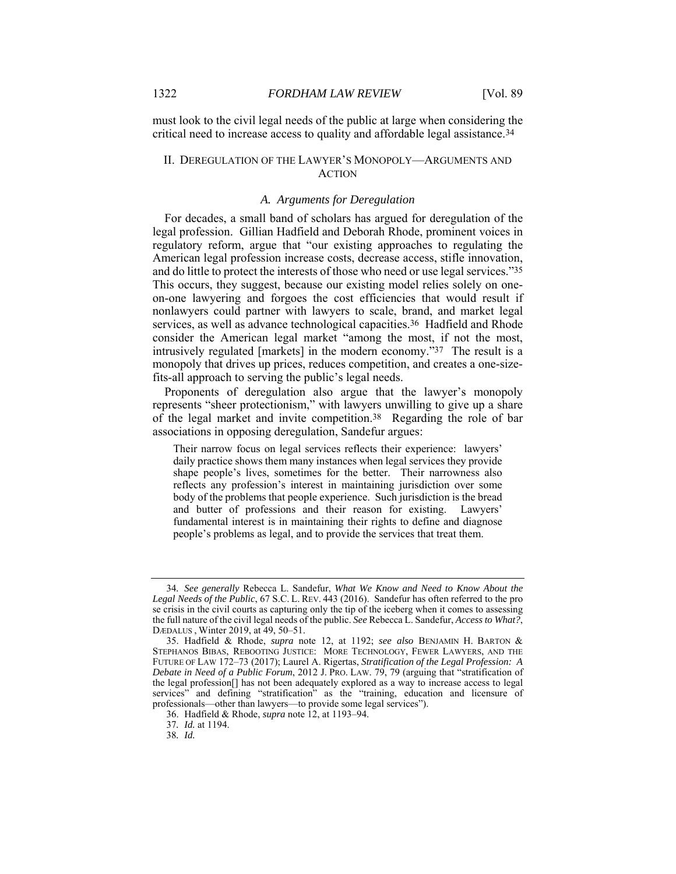must look to the civil legal needs of the public at large when considering the critical need to increase access to quality and affordable legal assistance.34

#### II. DEREGULATION OF THE LAWYER'S MONOPOLY—ARGUMENTS AND ACTION

#### *A. Arguments for Deregulation*

For decades, a small band of scholars has argued for deregulation of the legal profession. Gillian Hadfield and Deborah Rhode, prominent voices in regulatory reform, argue that "our existing approaches to regulating the American legal profession increase costs, decrease access, stifle innovation, and do little to protect the interests of those who need or use legal services."35 This occurs, they suggest, because our existing model relies solely on oneon-one lawyering and forgoes the cost efficiencies that would result if nonlawyers could partner with lawyers to scale, brand, and market legal services, as well as advance technological capacities.<sup>36</sup> Hadfield and Rhode consider the American legal market "among the most, if not the most, intrusively regulated [markets] in the modern economy."37 The result is a monopoly that drives up prices, reduces competition, and creates a one-sizefits-all approach to serving the public's legal needs.

Proponents of deregulation also argue that the lawyer's monopoly represents "sheer protectionism," with lawyers unwilling to give up a share of the legal market and invite competition.38 Regarding the role of bar associations in opposing deregulation, Sandefur argues:

Their narrow focus on legal services reflects their experience: lawyers' daily practice shows them many instances when legal services they provide shape people's lives, sometimes for the better. Their narrowness also reflects any profession's interest in maintaining jurisdiction over some body of the problems that people experience. Such jurisdiction is the bread and butter of professions and their reason for existing. Lawyers' fundamental interest is in maintaining their rights to define and diagnose people's problems as legal, and to provide the services that treat them.

38*. Id.*

<sup>34</sup>*. See generally* Rebecca L. Sandefur, *What We Know and Need to Know About the Legal Needs of the Public*, 67 S.C. L. REV. 443 (2016). Sandefur has often referred to the pro se crisis in the civil courts as capturing only the tip of the iceberg when it comes to assessing the full nature of the civil legal needs of the public. *See* Rebecca L. Sandefur, *Access to What?*, DӔDALUS , Winter 2019, at 49, 50–51.

 <sup>35.</sup> Hadfield & Rhode, *supra* note 12, at 1192; *see also* BENJAMIN H. BARTON & STEPHANOS BIBAS, REBOOTING JUSTICE: MORE TECHNOLOGY, FEWER LAWYERS, AND THE FUTURE OF LAW 172–73 (2017); Laurel A. Rigertas, *Stratification of the Legal Profession: A Debate in Need of a Public Forum*, 2012 J. PRO. LAW. 79, 79 (arguing that "stratification of the legal profession[] has not been adequately explored as a way to increase access to legal services" and defining "stratification" as the "training, education and licensure of professionals—other than lawyers—to provide some legal services").

 <sup>36.</sup> Hadfield & Rhode, *supra* note 12, at 1193–94.

<sup>37</sup>*. Id.* at 1194.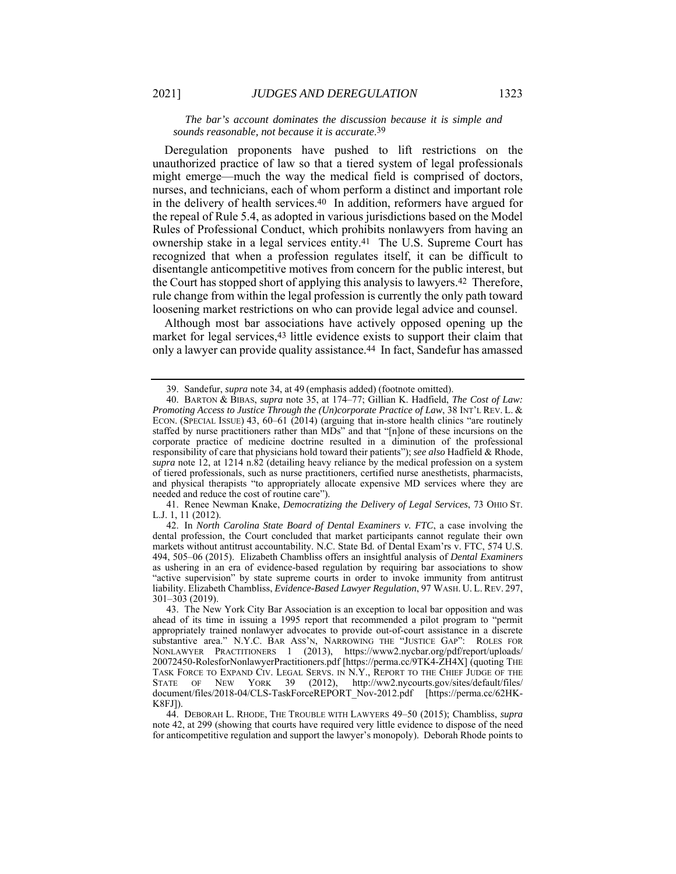Deregulation proponents have pushed to lift restrictions on the unauthorized practice of law so that a tiered system of legal professionals might emerge—much the way the medical field is comprised of doctors, nurses, and technicians, each of whom perform a distinct and important role in the delivery of health services.40 In addition, reformers have argued for the repeal of Rule 5.4, as adopted in various jurisdictions based on the Model Rules of Professional Conduct, which prohibits nonlawyers from having an ownership stake in a legal services entity.41 The U.S. Supreme Court has recognized that when a profession regulates itself, it can be difficult to disentangle anticompetitive motives from concern for the public interest, but the Court has stopped short of applying this analysis to lawyers.42 Therefore, rule change from within the legal profession is currently the only path toward loosening market restrictions on who can provide legal advice and counsel.

Although most bar associations have actively opposed opening up the market for legal services, <sup>43</sup> little evidence exists to support their claim that only a lawyer can provide quality assistance.44 In fact, Sandefur has amassed

 41. Renee Newman Knake, *Democratizing the Delivery of Legal Services*, 73 OHIO ST. L.J. 1, 11 (2012).

 <sup>39.</sup> Sandefur, *supra* note 34, at 49 (emphasis added) (footnote omitted).

 <sup>40.</sup> BARTON & BIBAS, *supra* note 35, at 174–77; Gillian K. Hadfield, *The Cost of Law: Promoting Access to Justice Through the (Un)corporate Practice of Law*, 38 INT'L REV. L. & ECON. (SPECIAL ISSUE) 43, 60–61 (2014) (arguing that in-store health clinics "are routinely staffed by nurse practitioners rather than MDs" and that "[n]one of these incursions on the corporate practice of medicine doctrine resulted in a diminution of the professional responsibility of care that physicians hold toward their patients"); *see also* Hadfield & Rhode, *supra* note 12, at 1214 n.82 (detailing heavy reliance by the medical profession on a system of tiered professionals, such as nurse practitioners, certified nurse anesthetists, pharmacists, and physical therapists "to appropriately allocate expensive MD services where they are needed and reduce the cost of routine care").

 <sup>42.</sup> In *North Carolina State Board of Dental Examiners v. FTC*, a case involving the dental profession, the Court concluded that market participants cannot regulate their own markets without antitrust accountability. N.C. State Bd. of Dental Exam'rs v. FTC, 574 U.S. 494, 505–06 (2015). Elizabeth Chambliss offers an insightful analysis of *Dental Examiners* as ushering in an era of evidence-based regulation by requiring bar associations to show "active supervision" by state supreme courts in order to invoke immunity from antitrust liability. Elizabeth Chambliss, *Evidence-Based Lawyer Regulation*, 97 WASH. U. L. REV. 297, 301–303 (2019).

 <sup>43.</sup> The New York City Bar Association is an exception to local bar opposition and was ahead of its time in issuing a 1995 report that recommended a pilot program to "permit appropriately trained nonlawyer advocates to provide out-of-court assistance in a discrete substantive area." N.Y.C. BAR ASS'N, NARROWING THE "JUSTICE GAP": ROLES FOR NONLAWYER PRACTITIONERS 1 (2013), https://www2.nycbar.org/pdf/report/uploads/ 20072450-RolesforNonlawyerPractitioners.pdf [https://perma.cc/9TK4-ZH4X] (quoting THE TASK FORCE TO EXPAND CIV. LEGAL SERVS. IN N.Y., REPORT TO THE CHIEF JUDGE OF THE STATE OF NEW YORK 39 (2012), http://ww2.nycourts.gov/sites/default/files/ document/files/2018-04/CLS-TaskForceREPORT\_Nov-2012.pdf [https://perma.cc/62HK-K8FJ]).

 <sup>44.</sup> DEBORAH L. RHODE, THE TROUBLE WITH LAWYERS 49–50 (2015); Chambliss, *supra* note 42, at 299 (showing that courts have required very little evidence to dispose of the need for anticompetitive regulation and support the lawyer's monopoly). Deborah Rhode points to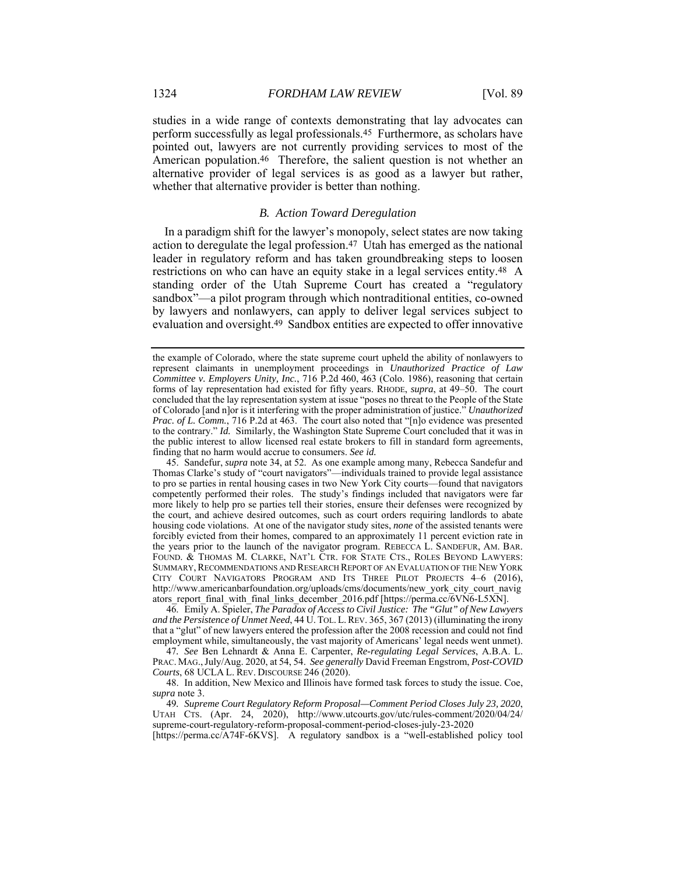studies in a wide range of contexts demonstrating that lay advocates can perform successfully as legal professionals.45 Furthermore, as scholars have pointed out, lawyers are not currently providing services to most of the American population.46 Therefore, the salient question is not whether an alternative provider of legal services is as good as a lawyer but rather, whether that alternative provider is better than nothing.

#### *B. Action Toward Deregulation*

In a paradigm shift for the lawyer's monopoly, select states are now taking action to deregulate the legal profession.47 Utah has emerged as the national leader in regulatory reform and has taken groundbreaking steps to loosen restrictions on who can have an equity stake in a legal services entity.48 A standing order of the Utah Supreme Court has created a "regulatory sandbox"—a pilot program through which nontraditional entities, co-owned by lawyers and nonlawyers, can apply to deliver legal services subject to evaluation and oversight.49 Sandbox entities are expected to offer innovative

 46. Emily A. Spieler, *The Paradox of Access to Civil Justice: The "Glut" of New Lawyers and the Persistence of Unmet Need*, 44 U. TOL. L.REV. 365, 367 (2013) (illuminating the irony that a "glut" of new lawyers entered the profession after the 2008 recession and could not find employment while, simultaneously, the vast majority of Americans' legal needs went unmet).

47*. See* Ben Lehnardt & Anna E. Carpenter, *Re-regulating Legal Services*, A.B.A. L. PRAC. MAG.,July/Aug. 2020, at 54, 54. *See generally* David Freeman Engstrom, *Post-COVID Courts*, 68 UCLA L. REV. DISCOURSE 246 (2020).

 48. In addition, New Mexico and Illinois have formed task forces to study the issue. Coe, *supra* note 3.

49*. Supreme Court Regulatory Reform Proposal—Comment Period Closes July 23, 2020*, UTAH CTS. (Apr. 24, 2020), http://www.utcourts.gov/utc/rules-comment/2020/04/24/ supreme-court-regulatory-reform-proposal-comment-period-closes-july-23-2020

[https://perma.cc/A74F-6KVS]. A regulatory sandbox is a "well-established policy tool

the example of Colorado, where the state supreme court upheld the ability of nonlawyers to represent claimants in unemployment proceedings in *Unauthorized Practice of Law Committee v. Employers Unity, Inc.*, 716 P.2d 460, 463 (Colo. 1986), reasoning that certain forms of lay representation had existed for fifty years. RHODE, *supra*, at 49–50. The court concluded that the lay representation system at issue "poses no threat to the People of the State of Colorado [and n]or is it interfering with the proper administration of justice." *Unauthorized Prac. of L. Comm.*, 716 P.2d at 463. The court also noted that "[n]o evidence was presented to the contrary." *Id.* Similarly, the Washington State Supreme Court concluded that it was in the public interest to allow licensed real estate brokers to fill in standard form agreements, finding that no harm would accrue to consumers. *See id.* 

 <sup>45.</sup> Sandefur, *supra* note 34, at 52. As one example among many, Rebecca Sandefur and Thomas Clarke's study of "court navigators"—individuals trained to provide legal assistance to pro se parties in rental housing cases in two New York City courts—found that navigators competently performed their roles. The study's findings included that navigators were far more likely to help pro se parties tell their stories, ensure their defenses were recognized by the court, and achieve desired outcomes, such as court orders requiring landlords to abate housing code violations. At one of the navigator study sites, *none* of the assisted tenants were forcibly evicted from their homes, compared to an approximately 11 percent eviction rate in the years prior to the launch of the navigator program. REBECCA L. SANDEFUR, AM. BAR. FOUND. & THOMAS M. CLARKE, NAT'L CTR. FOR STATE CTS., ROLES BEYOND LAWYERS: SUMMARY, RECOMMENDATIONS AND RESEARCH REPORT OF AN EVALUATION OF THE NEW YORK CITY COURT NAVIGATORS PROGRAM AND ITS THREE PILOT PROJECTS 4–6 (2016), http://www.americanbarfoundation.org/uploads/cms/documents/new\_york\_city\_court\_navig ators\_report\_final\_with\_final\_links\_december\_2016.pdf [https://perma.cc/6VN6-L5XN].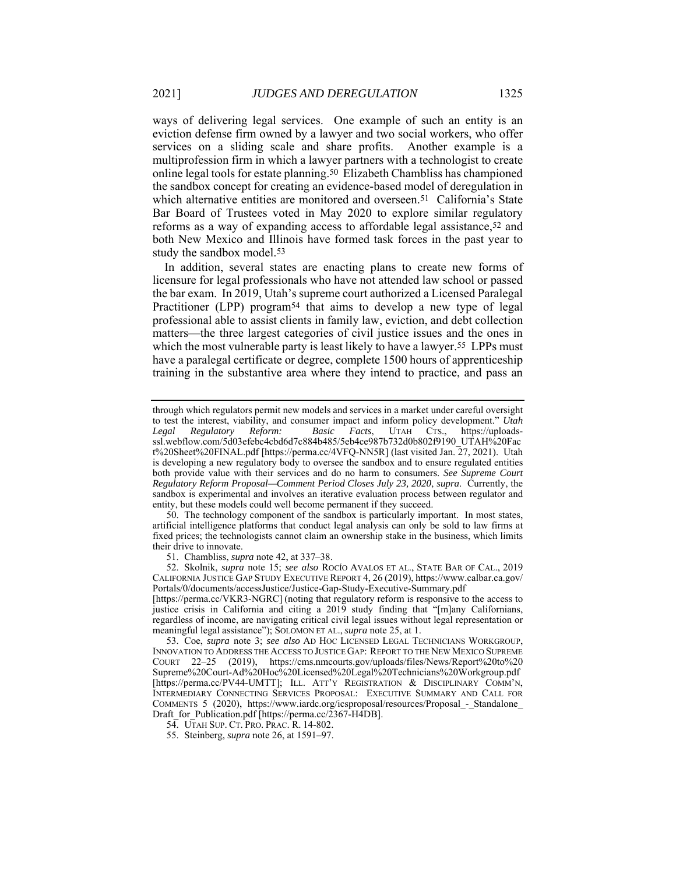ways of delivering legal services. One example of such an entity is an eviction defense firm owned by a lawyer and two social workers, who offer services on a sliding scale and share profits. Another example is a multiprofession firm in which a lawyer partners with a technologist to create online legal tools for estate planning.50 Elizabeth Chambliss has championed the sandbox concept for creating an evidence-based model of deregulation in which alternative entities are monitored and overseen.<sup>51</sup> California's State Bar Board of Trustees voted in May 2020 to explore similar regulatory reforms as a way of expanding access to affordable legal assistance,52 and both New Mexico and Illinois have formed task forces in the past year to study the sandbox model.<sup>53</sup>

In addition, several states are enacting plans to create new forms of licensure for legal professionals who have not attended law school or passed the bar exam. In 2019, Utah's supreme court authorized a Licensed Paralegal Practitioner (LPP) program54 that aims to develop a new type of legal professional able to assist clients in family law, eviction, and debt collection matters—the three largest categories of civil justice issues and the ones in which the most vulnerable party is least likely to have a lawyer.<sup>55</sup> LPPs must have a paralegal certificate or degree, complete 1500 hours of apprenticeship training in the substantive area where they intend to practice, and pass an

 50. The technology component of the sandbox is particularly important. In most states, artificial intelligence platforms that conduct legal analysis can only be sold to law firms at fixed prices; the technologists cannot claim an ownership stake in the business, which limits their drive to innovate.

51. Chambliss, *supra* note 42, at 337–38.

 52. Skolnik, *supra* note 15; *see also* ROCÍO AVALOS ET AL., STATE BAR OF CAL., 2019 CALIFORNIA JUSTICE GAP STUDY EXECUTIVE REPORT 4, 26 (2019), https://www.calbar.ca.gov/ Portals/0/documents/accessJustice/Justice-Gap-Study-Executive-Summary.pdf

[https://perma.cc/VKR3-NGRC] (noting that regulatory reform is responsive to the access to justice crisis in California and citing a 2019 study finding that "[m]any Californians, regardless of income, are navigating critical civil legal issues without legal representation or meaningful legal assistance"); SOLOMON ET AL., *supra* note 25, at 1.

 53. Coe, *supra* note 3; *see also* AD HOC LICENSED LEGAL TECHNICIANS WORKGROUP, INNOVATION TO ADDRESS THE ACCESS TO JUSTICE GAP: REPORT TO THE NEW MEXICO SUPREME COURT 22–25 (2019), https://cms.nmcourts.gov/uploads/files/News/Report%20to%20 Supreme%20Court-Ad%20Hoc%20Licensed%20Legal%20Technicians%20Workgroup.pdf [https://perma.cc/PV44-UMTT]; ILL. ATT'Y REGISTRATION & DISCIPLINARY COMM'N, INTERMEDIARY CONNECTING SERVICES PROPOSAL: EXECUTIVE SUMMARY AND CALL FOR COMMENTS 5 (2020), https://www.iardc.org/icsproposal/resources/Proposal\_-\_Standalone\_ Draft for Publication.pdf [https://perma.cc/2367-H4DB].

54. UTAH SUP. CT. PRO. PRAC. R. 14-802.

55. Steinberg, *supra* note 26, at 1591–97.

through which regulators permit new models and services in a market under careful oversight to test the interest, viability, and consumer impact and inform policy development." *Utah Legal Regulatory Reform: Basic Facts*, UTAH CTS., https://uploadsssl.webflow.com/5d03efebc4cbd6d7c884b485/5eb4ce987b732d0b802f9190\_UTAH%20Fac t%20Sheet%20FINAL.pdf [https://perma.cc/4VFQ-NN5R] (last visited Jan. 27, 2021). Utah is developing a new regulatory body to oversee the sandbox and to ensure regulated entities both provide value with their services and do no harm to consumers. *See Supreme Court Regulatory Reform Proposal—Comment Period Closes July 23, 2020*, *supra*. Currently, the sandbox is experimental and involves an iterative evaluation process between regulator and entity, but these models could well become permanent if they succeed.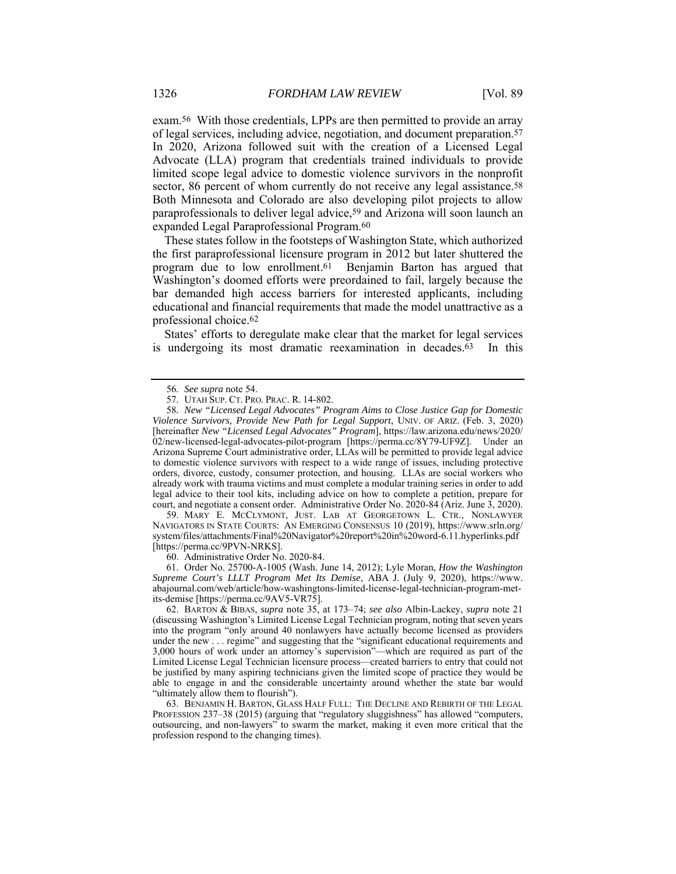exam.56 With those credentials, LPPs are then permitted to provide an array of legal services, including advice, negotiation, and document preparation.57 In 2020, Arizona followed suit with the creation of a Licensed Legal Advocate (LLA) program that credentials trained individuals to provide limited scope legal advice to domestic violence survivors in the nonprofit sector, 86 percent of whom currently do not receive any legal assistance.<sup>58</sup> Both Minnesota and Colorado are also developing pilot projects to allow paraprofessionals to deliver legal advice,59 and Arizona will soon launch an expanded Legal Paraprofessional Program.60

These states follow in the footsteps of Washington State, which authorized the first paraprofessional licensure program in 2012 but later shuttered the program due to low enrollment.<sup>61</sup> Benjamin Barton has argued that Washington's doomed efforts were preordained to fail, largely because the bar demanded high access barriers for interested applicants, including educational and financial requirements that made the model unattractive as a professional choice.62

States' efforts to deregulate make clear that the market for legal services is undergoing its most dramatic reexamination in decades.63 In this

 59. MARY E. MCCLYMONT, JUST. LAB AT GEORGETOWN L. CTR., NONLAWYER NAVIGATORS IN STATE COURTS: AN EMERGING CONSENSUS 10 (2019), https://www.srln.org/ system/files/attachments/Final%20Navigator%20report%20in%20word-6.11.hyperlinks.pdf [https://perma.cc/9PVN-NRKS].

60. Administrative Order No. 2020-84.

 61. Order No. 25700-A-1005 (Wash. June 14, 2012); Lyle Moran, *How the Washington Supreme Court's LLLT Program Met Its Demise*, ABA J. (July 9, 2020), https://www. abajournal.com/web/article/how-washingtons-limited-license-legal-technician-program-metits-demise [https://perma.cc/9AV5-VR75].

 62. BARTON & BIBAS, *supra* note 35, at 173–74; *see also* Albin-Lackey, *supra* note 21 (discussing Washington's Limited License Legal Technician program, noting that seven years into the program "only around 40 nonlawyers have actually become licensed as providers under the new . . . regime" and suggesting that the "significant educational requirements and 3,000 hours of work under an attorney's supervision"—which are required as part of the Limited License Legal Technician licensure process—created barriers to entry that could not be justified by many aspiring technicians given the limited scope of practice they would be able to engage in and the considerable uncertainty around whether the state bar would "ultimately allow them to flourish").

 63. BENJAMIN H. BARTON, GLASS HALF FULL: THE DECLINE AND REBIRTH OF THE LEGAL PROFESSION 237–38 (2015) (arguing that "regulatory sluggishness" has allowed "computers, outsourcing, and non-lawyers" to swarm the market, making it even more critical that the profession respond to the changing times).

<sup>56</sup>*. See supra* note 54.

 <sup>57.</sup> UTAH SUP. CT. PRO. PRAC. R. 14-802.

<sup>58</sup>*. New "Licensed Legal Advocates" Program Aims to Close Justice Gap for Domestic Violence Survivors, Provide New Path for Legal Support*, UNIV. OF ARIZ. (Feb. 3, 2020) [hereinafter *New "Licensed Legal Advocates" Program*], https://law.arizona.edu/news/2020/ 02/new-licensed-legal-advocates-pilot-program [https://perma.cc/8Y79-UF9Z]. Under an Arizona Supreme Court administrative order, LLAs will be permitted to provide legal advice to domestic violence survivors with respect to a wide range of issues, including protective orders, divorce, custody, consumer protection, and housing. LLAs are social workers who already work with trauma victims and must complete a modular training series in order to add legal advice to their tool kits, including advice on how to complete a petition, prepare for court, and negotiate a consent order. Administrative Order No. 2020-84 (Ariz. June 3, 2020).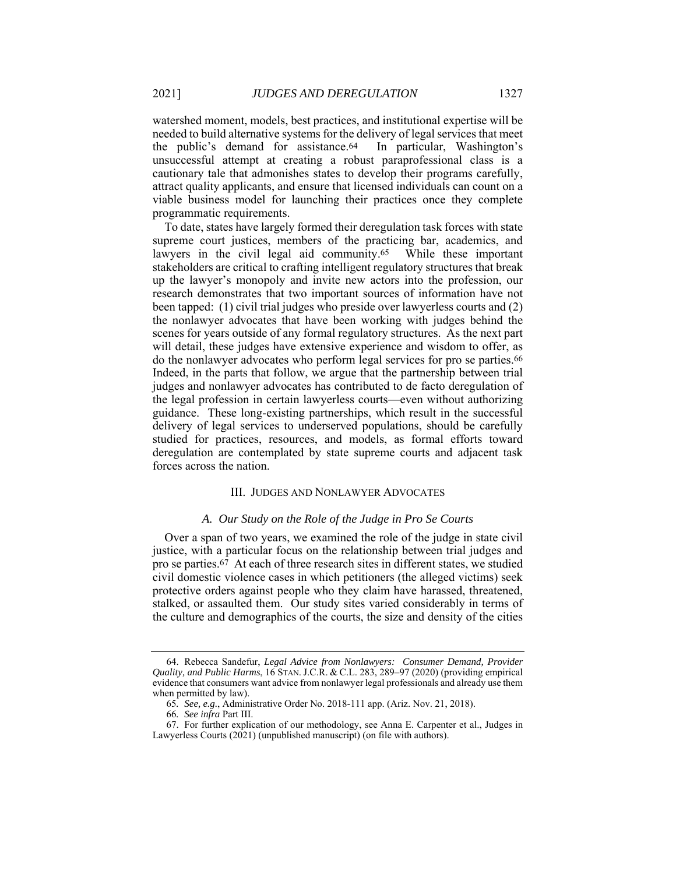watershed moment, models, best practices, and institutional expertise will be needed to build alternative systems for the delivery of legal services that meet the public's demand for assistance.64 In particular, Washington's unsuccessful attempt at creating a robust paraprofessional class is a cautionary tale that admonishes states to develop their programs carefully, attract quality applicants, and ensure that licensed individuals can count on a viable business model for launching their practices once they complete programmatic requirements.

To date, states have largely formed their deregulation task forces with state supreme court justices, members of the practicing bar, academics, and lawyers in the civil legal aid community.<sup>65</sup> While these important stakeholders are critical to crafting intelligent regulatory structures that break up the lawyer's monopoly and invite new actors into the profession, our research demonstrates that two important sources of information have not been tapped: (1) civil trial judges who preside over lawyerless courts and (2) the nonlawyer advocates that have been working with judges behind the scenes for years outside of any formal regulatory structures. As the next part will detail, these judges have extensive experience and wisdom to offer, as do the nonlawyer advocates who perform legal services for pro se parties.66 Indeed, in the parts that follow, we argue that the partnership between trial judges and nonlawyer advocates has contributed to de facto deregulation of the legal profession in certain lawyerless courts—even without authorizing guidance. These long-existing partnerships, which result in the successful delivery of legal services to underserved populations, should be carefully studied for practices, resources, and models, as formal efforts toward deregulation are contemplated by state supreme courts and adjacent task forces across the nation.

#### III. JUDGES AND NONLAWYER ADVOCATES

#### *A. Our Study on the Role of the Judge in Pro Se Courts*

Over a span of two years, we examined the role of the judge in state civil justice, with a particular focus on the relationship between trial judges and pro se parties.67 At each of three research sites in different states, we studied civil domestic violence cases in which petitioners (the alleged victims) seek protective orders against people who they claim have harassed, threatened, stalked, or assaulted them. Our study sites varied considerably in terms of the culture and demographics of the courts, the size and density of the cities

 <sup>64.</sup> Rebecca Sandefur, *Legal Advice from Nonlawyers: Consumer Demand, Provider Quality, and Public Harms*, 16 STAN. J.C.R. & C.L. 283, 289–97 (2020) (providing empirical evidence that consumers want advice from nonlawyer legal professionals and already use them when permitted by law).

<sup>65</sup>*. See, e.g.*, Administrative Order No. 2018-111 app. (Ariz. Nov. 21, 2018).

<sup>66</sup>*. See infra* Part III.

 <sup>67.</sup> For further explication of our methodology, see Anna E. Carpenter et al., Judges in Lawyerless Courts (2021) (unpublished manuscript) (on file with authors).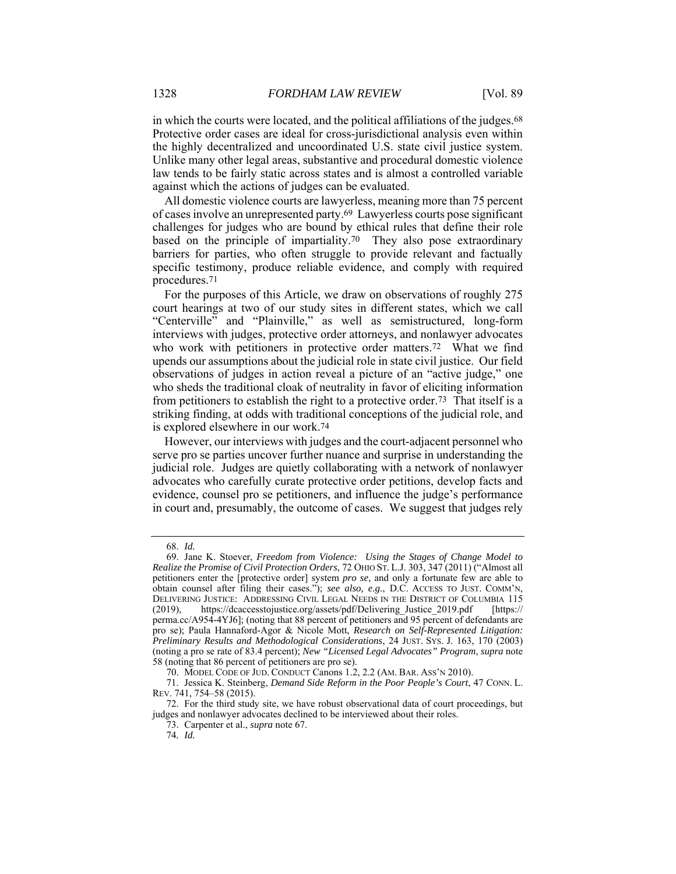in which the courts were located, and the political affiliations of the judges.68 Protective order cases are ideal for cross-jurisdictional analysis even within the highly decentralized and uncoordinated U.S. state civil justice system. Unlike many other legal areas, substantive and procedural domestic violence law tends to be fairly static across states and is almost a controlled variable against which the actions of judges can be evaluated.

All domestic violence courts are lawyerless, meaning more than 75 percent of cases involve an unrepresented party.69 Lawyerless courts pose significant challenges for judges who are bound by ethical rules that define their role based on the principle of impartiality.70 They also pose extraordinary barriers for parties, who often struggle to provide relevant and factually specific testimony, produce reliable evidence, and comply with required procedures.71

For the purposes of this Article, we draw on observations of roughly 275 court hearings at two of our study sites in different states, which we call "Centerville" and "Plainville," as well as semistructured, long-form interviews with judges, protective order attorneys, and nonlawyer advocates who work with petitioners in protective order matters.<sup>72</sup> What we find upends our assumptions about the judicial role in state civil justice. Our field observations of judges in action reveal a picture of an "active judge," one who sheds the traditional cloak of neutrality in favor of eliciting information from petitioners to establish the right to a protective order.73 That itself is a striking finding, at odds with traditional conceptions of the judicial role, and is explored elsewhere in our work.74

However, our interviews with judges and the court-adjacent personnel who serve pro se parties uncover further nuance and surprise in understanding the judicial role. Judges are quietly collaborating with a network of nonlawyer advocates who carefully curate protective order petitions, develop facts and evidence, counsel pro se petitioners, and influence the judge's performance in court and, presumably, the outcome of cases. We suggest that judges rely

 <sup>68.</sup> *Id.*

 <sup>69.</sup> Jane K. Stoever, *Freedom from Violence: Using the Stages of Change Model to Realize the Promise of Civil Protection Orders*, 72 OHIO ST. L.J. 303, 347 (2011) ("Almost all petitioners enter the [protective order] system *pro se*, and only a fortunate few are able to obtain counsel after filing their cases."); *see also, e.g.*, D.C. ACCESS TO JUST. COMM'N, DELIVERING JUSTICE: ADDRESSING CIVIL LEGAL NEEDS IN THE DISTRICT OF COLUMBIA 115 (2019), https://dcaccesstojustice.org/assets/pdf/Delivering\_Justice\_2019.pdf [https:// perma.cc/A954-4YJ6]; (noting that 88 percent of petitioners and 95 percent of defendants are pro se); Paula Hannaford-Agor & Nicole Mott, *Research on Self-Represented Litigation: Preliminary Results and Methodological Considerations*, 24 JUST. SYS. J. 163, 170 (2003) (noting a pro se rate of 83.4 percent); *New "Licensed Legal Advocates" Program*, *supra* note 58 (noting that 86 percent of petitioners are pro se).

 <sup>70.</sup> MODEL CODE OF JUD. CONDUCT Canons 1.2, 2.2 (AM. BAR. ASS'N 2010).

 <sup>71.</sup> Jessica K. Steinberg, *Demand Side Reform in the Poor People's Court*, 47 CONN. L. REV. 741, 754–58 (2015).

 <sup>72.</sup> For the third study site, we have robust observational data of court proceedings, but judges and nonlawyer advocates declined to be interviewed about their roles.

 <sup>73.</sup> Carpenter et al., *supra* note 67.

<sup>74</sup>*. Id.*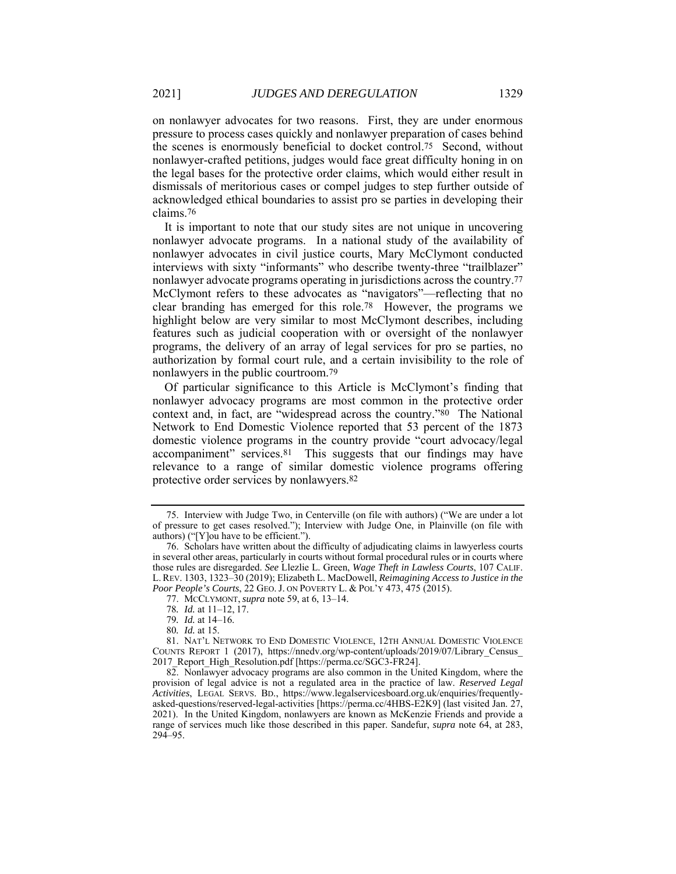on nonlawyer advocates for two reasons. First, they are under enormous pressure to process cases quickly and nonlawyer preparation of cases behind the scenes is enormously beneficial to docket control.75 Second, without nonlawyer-crafted petitions, judges would face great difficulty honing in on the legal bases for the protective order claims, which would either result in dismissals of meritorious cases or compel judges to step further outside of acknowledged ethical boundaries to assist pro se parties in developing their claims.76

It is important to note that our study sites are not unique in uncovering nonlawyer advocate programs. In a national study of the availability of nonlawyer advocates in civil justice courts, Mary McClymont conducted interviews with sixty "informants" who describe twenty-three "trailblazer" nonlawyer advocate programs operating in jurisdictions across the country.77 McClymont refers to these advocates as "navigators"—reflecting that no clear branding has emerged for this role.78 However, the programs we highlight below are very similar to most McClymont describes, including features such as judicial cooperation with or oversight of the nonlawyer programs, the delivery of an array of legal services for pro se parties, no authorization by formal court rule, and a certain invisibility to the role of nonlawyers in the public courtroom.79

Of particular significance to this Article is McClymont's finding that nonlawyer advocacy programs are most common in the protective order context and, in fact, are "widespread across the country."80 The National Network to End Domestic Violence reported that 53 percent of the 1873 domestic violence programs in the country provide "court advocacy/legal accompaniment" services.81 This suggests that our findings may have relevance to a range of similar domestic violence programs offering protective order services by nonlawyers.82

77. MCCLYMONT, *supra* note 59, at 6, 13–14.

 <sup>75.</sup> Interview with Judge Two, in Centerville (on file with authors) ("We are under a lot of pressure to get cases resolved."); Interview with Judge One, in Plainville (on file with authors) ("[Y]ou have to be efficient.").

 <sup>76.</sup> Scholars have written about the difficulty of adjudicating claims in lawyerless courts in several other areas, particularly in courts without formal procedural rules or in courts where those rules are disregarded. *See* Llezlie L. Green, *Wage Theft in Lawless Courts*, 107 CALIF. L. REV. 1303, 1323–30 (2019); Elizabeth L. MacDowell, *Reimagining Access to Justice in the Poor People's Courts*, 22 GEO. J. ON POVERTY L. & POL'Y 473, 475 (2015).

<sup>78</sup>*. Id.* at 11–12, 17.

<sup>79</sup>*. Id.* at 14–16.

<sup>80</sup>*. Id.* at 15.

 <sup>81.</sup> NAT'L NETWORK TO END DOMESTIC VIOLENCE, 12TH ANNUAL DOMESTIC VIOLENCE COUNTS REPORT 1 (2017), https://nnedv.org/wp-content/uploads/2019/07/Library\_Census\_ 2017\_Report\_High\_Resolution.pdf [https://perma.cc/SGC3-FR24].

 <sup>82.</sup> Nonlawyer advocacy programs are also common in the United Kingdom, where the provision of legal advice is not a regulated area in the practice of law. *Reserved Legal Activities*, LEGAL SERVS. BD., https://www.legalservicesboard.org.uk/enquiries/frequentlyasked-questions/reserved-legal-activities [https://perma.cc/4HBS-E2K9] (last visited Jan. 27, 2021). In the United Kingdom, nonlawyers are known as McKenzie Friends and provide a range of services much like those described in this paper. Sandefur, *supra* note 64, at 283, 294–95.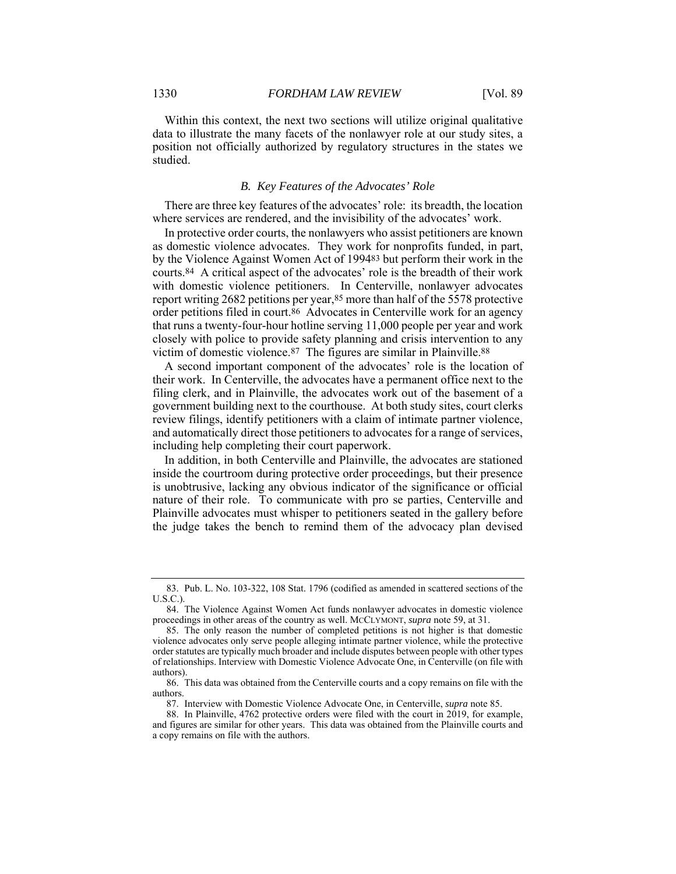Within this context, the next two sections will utilize original qualitative data to illustrate the many facets of the nonlawyer role at our study sites, a position not officially authorized by regulatory structures in the states we studied.

#### *B. Key Features of the Advocates' Role*

There are three key features of the advocates' role: its breadth, the location where services are rendered, and the invisibility of the advocates' work.

In protective order courts, the nonlawyers who assist petitioners are known as domestic violence advocates. They work for nonprofits funded, in part, by the Violence Against Women Act of 199483 but perform their work in the courts.84 A critical aspect of the advocates' role is the breadth of their work with domestic violence petitioners. In Centerville, nonlawyer advocates report writing 2682 petitions per year,85 more than half of the 5578 protective order petitions filed in court.86 Advocates in Centerville work for an agency that runs a twenty-four-hour hotline serving 11,000 people per year and work closely with police to provide safety planning and crisis intervention to any victim of domestic violence.87 The figures are similar in Plainville.88

A second important component of the advocates' role is the location of their work. In Centerville, the advocates have a permanent office next to the filing clerk, and in Plainville, the advocates work out of the basement of a government building next to the courthouse. At both study sites, court clerks review filings, identify petitioners with a claim of intimate partner violence, and automatically direct those petitioners to advocates for a range of services, including help completing their court paperwork.

In addition, in both Centerville and Plainville, the advocates are stationed inside the courtroom during protective order proceedings, but their presence is unobtrusive, lacking any obvious indicator of the significance or official nature of their role. To communicate with pro se parties, Centerville and Plainville advocates must whisper to petitioners seated in the gallery before the judge takes the bench to remind them of the advocacy plan devised

 <sup>83.</sup> Pub. L. No. 103-322, 108 Stat. 1796 (codified as amended in scattered sections of the U.S.C.).

 <sup>84.</sup> The Violence Against Women Act funds nonlawyer advocates in domestic violence proceedings in other areas of the country as well. MCCLYMONT, *supra* note 59, at 31.

 <sup>85.</sup> The only reason the number of completed petitions is not higher is that domestic violence advocates only serve people alleging intimate partner violence, while the protective order statutes are typically much broader and include disputes between people with other types of relationships. Interview with Domestic Violence Advocate One, in Centerville (on file with authors).

 <sup>86.</sup> This data was obtained from the Centerville courts and a copy remains on file with the authors.

 <sup>87.</sup> Interview with Domestic Violence Advocate One, in Centerville, *supra* note 85.

 <sup>88.</sup> In Plainville, 4762 protective orders were filed with the court in 2019, for example, and figures are similar for other years. This data was obtained from the Plainville courts and a copy remains on file with the authors.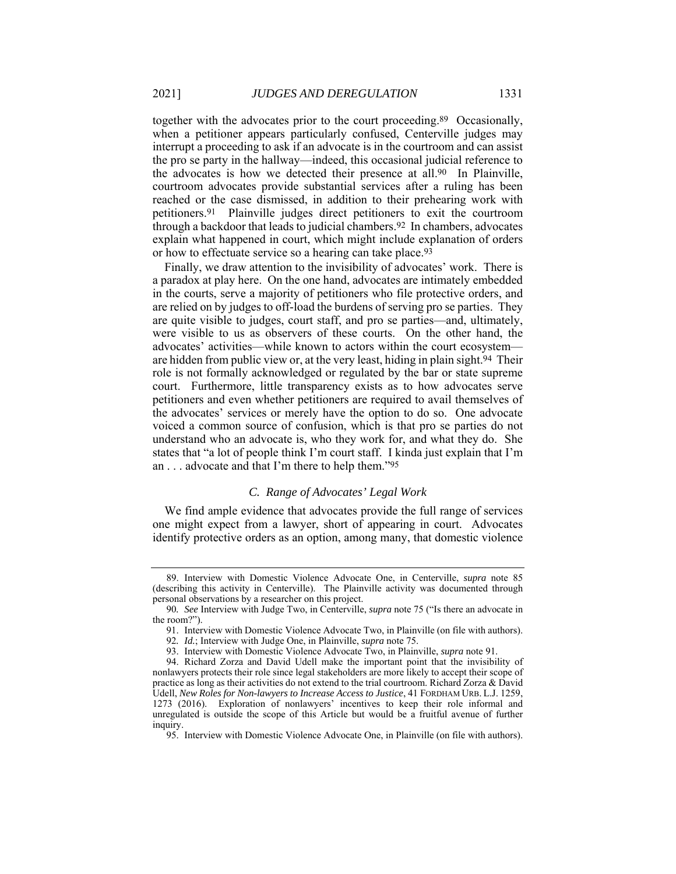together with the advocates prior to the court proceeding.89 Occasionally, when a petitioner appears particularly confused, Centerville judges may interrupt a proceeding to ask if an advocate is in the courtroom and can assist the pro se party in the hallway—indeed, this occasional judicial reference to the advocates is how we detected their presence at all.90 In Plainville, courtroom advocates provide substantial services after a ruling has been reached or the case dismissed, in addition to their prehearing work with petitioners.91 Plainville judges direct petitioners to exit the courtroom through a backdoor that leads to judicial chambers.92 In chambers, advocates explain what happened in court, which might include explanation of orders or how to effectuate service so a hearing can take place.93

Finally, we draw attention to the invisibility of advocates' work. There is a paradox at play here. On the one hand, advocates are intimately embedded in the courts, serve a majority of petitioners who file protective orders, and are relied on by judges to off-load the burdens of serving pro se parties. They are quite visible to judges, court staff, and pro se parties—and, ultimately, were visible to us as observers of these courts. On the other hand, the advocates' activities—while known to actors within the court ecosystem are hidden from public view or, at the very least, hiding in plain sight.94 Their role is not formally acknowledged or regulated by the bar or state supreme court. Furthermore, little transparency exists as to how advocates serve petitioners and even whether petitioners are required to avail themselves of the advocates' services or merely have the option to do so. One advocate voiced a common source of confusion, which is that pro se parties do not understand who an advocate is, who they work for, and what they do. She states that "a lot of people think I'm court staff. I kinda just explain that I'm an . . . advocate and that I'm there to help them."95

#### *C. Range of Advocates' Legal Work*

We find ample evidence that advocates provide the full range of services one might expect from a lawyer, short of appearing in court. Advocates identify protective orders as an option, among many, that domestic violence

 <sup>89.</sup> Interview with Domestic Violence Advocate One, in Centerville, *supra* note 85 (describing this activity in Centerville). The Plainville activity was documented through personal observations by a researcher on this project.

<sup>90</sup>*. See* Interview with Judge Two, in Centerville, *supra* note 75 ("Is there an advocate in the room?").

 <sup>91.</sup> Interview with Domestic Violence Advocate Two, in Plainville (on file with authors).

<sup>92</sup>*. Id.*; Interview with Judge One, in Plainville, *supra* note 75.

 <sup>93.</sup> Interview with Domestic Violence Advocate Two, in Plainville, *supra* note 91.

 <sup>94.</sup> Richard Zorza and David Udell make the important point that the invisibility of nonlawyers protects their role since legal stakeholders are more likely to accept their scope of practice as long as their activities do not extend to the trial courtroom. Richard Zorza & David Udell, *New Roles for Non-lawyers to Increase Access to Justice*, 41 FORDHAM URB. L.J. 1259, 1273 (2016). Exploration of nonlawyers' incentives to keep their role informal and unregulated is outside the scope of this Article but would be a fruitful avenue of further inquiry.

 <sup>95.</sup> Interview with Domestic Violence Advocate One, in Plainville (on file with authors).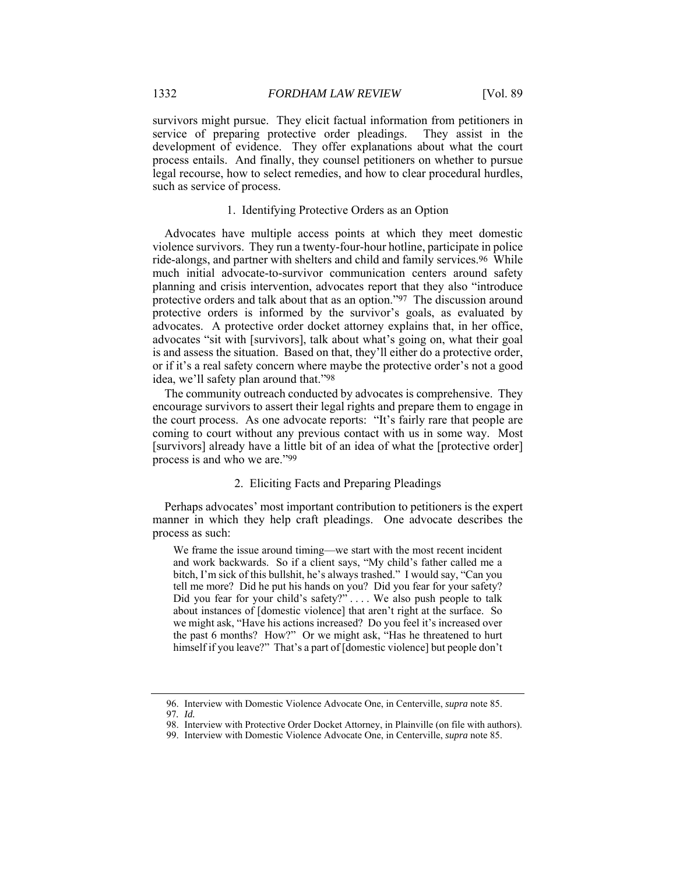survivors might pursue. They elicit factual information from petitioners in service of preparing protective order pleadings. They assist in the development of evidence. They offer explanations about what the court process entails. And finally, they counsel petitioners on whether to pursue legal recourse, how to select remedies, and how to clear procedural hurdles, such as service of process.

#### 1. Identifying Protective Orders as an Option

Advocates have multiple access points at which they meet domestic violence survivors. They run a twenty-four-hour hotline, participate in police ride-alongs, and partner with shelters and child and family services.96 While much initial advocate-to-survivor communication centers around safety planning and crisis intervention, advocates report that they also "introduce protective orders and talk about that as an option."97 The discussion around protective orders is informed by the survivor's goals, as evaluated by advocates. A protective order docket attorney explains that, in her office, advocates "sit with [survivors], talk about what's going on, what their goal is and assess the situation. Based on that, they'll either do a protective order, or if it's a real safety concern where maybe the protective order's not a good idea, we'll safety plan around that."98

The community outreach conducted by advocates is comprehensive. They encourage survivors to assert their legal rights and prepare them to engage in the court process. As one advocate reports: "It's fairly rare that people are coming to court without any previous contact with us in some way. Most [survivors] already have a little bit of an idea of what the [protective order] process is and who we are."99

#### 2. Eliciting Facts and Preparing Pleadings

Perhaps advocates' most important contribution to petitioners is the expert manner in which they help craft pleadings. One advocate describes the process as such:

We frame the issue around timing—we start with the most recent incident and work backwards. So if a client says, "My child's father called me a bitch, I'm sick of this bullshit, he's always trashed." I would say, "Can you tell me more? Did he put his hands on you? Did you fear for your safety? Did you fear for your child's safety?" . . . . We also push people to talk about instances of [domestic violence] that aren't right at the surface. So we might ask, "Have his actions increased? Do you feel it's increased over the past 6 months? How?" Or we might ask, "Has he threatened to hurt himself if you leave?" That's a part of [domestic violence] but people don't

 <sup>96.</sup> Interview with Domestic Violence Advocate One, in Centerville, *supra* note 85. 97*. Id.*

 <sup>98.</sup> Interview with Protective Order Docket Attorney, in Plainville (on file with authors).

 <sup>99.</sup> Interview with Domestic Violence Advocate One, in Centerville, *supra* note 85.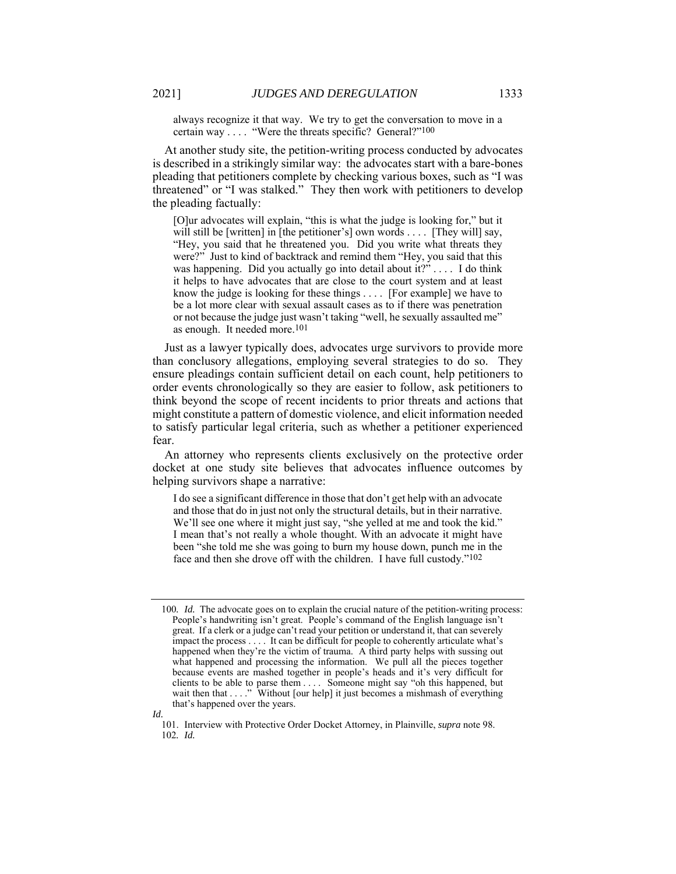always recognize it that way. We try to get the conversation to move in a certain way . . . . "Were the threats specific? General?"100

At another study site, the petition-writing process conducted by advocates is described in a strikingly similar way: the advocates start with a bare-bones pleading that petitioners complete by checking various boxes, such as "I was threatened" or "I was stalked." They then work with petitioners to develop the pleading factually:

[O]ur advocates will explain, "this is what the judge is looking for," but it will still be [written] in [the petitioner's] own words  $\dots$  [They will] say, "Hey, you said that he threatened you. Did you write what threats they were?" Just to kind of backtrack and remind them "Hey, you said that this was happening. Did you actually go into detail about it?" . . . . I do think it helps to have advocates that are close to the court system and at least know the judge is looking for these things . . . . [For example] we have to be a lot more clear with sexual assault cases as to if there was penetration or not because the judge just wasn't taking "well, he sexually assaulted me" as enough. It needed more.101

Just as a lawyer typically does, advocates urge survivors to provide more than conclusory allegations, employing several strategies to do so. They ensure pleadings contain sufficient detail on each count, help petitioners to order events chronologically so they are easier to follow, ask petitioners to think beyond the scope of recent incidents to prior threats and actions that might constitute a pattern of domestic violence, and elicit information needed to satisfy particular legal criteria, such as whether a petitioner experienced fear.

An attorney who represents clients exclusively on the protective order docket at one study site believes that advocates influence outcomes by helping survivors shape a narrative:

I do see a significant difference in those that don't get help with an advocate and those that do in just not only the structural details, but in their narrative. We'll see one where it might just say, "she yelled at me and took the kid." I mean that's not really a whole thought. With an advocate it might have been "she told me she was going to burn my house down, punch me in the face and then she drove off with the children. I have full custody."102

*Id.*

<sup>100</sup>*. Id.* The advocate goes on to explain the crucial nature of the petition-writing process: People's handwriting isn't great. People's command of the English language isn't great. If a clerk or a judge can't read your petition or understand it, that can severely impact the process . . . . It can be difficult for people to coherently articulate what's happened when they're the victim of trauma. A third party helps with sussing out what happened and processing the information. We pull all the pieces together because events are mashed together in people's heads and it's very difficult for clients to be able to parse them . . . . Someone might say "oh this happened, but wait then that . . . ." Without [our help] it just becomes a mishmash of everything that's happened over the years.

 <sup>101.</sup> Interview with Protective Order Docket Attorney, in Plainville, *supra* note 98. 102*. Id.*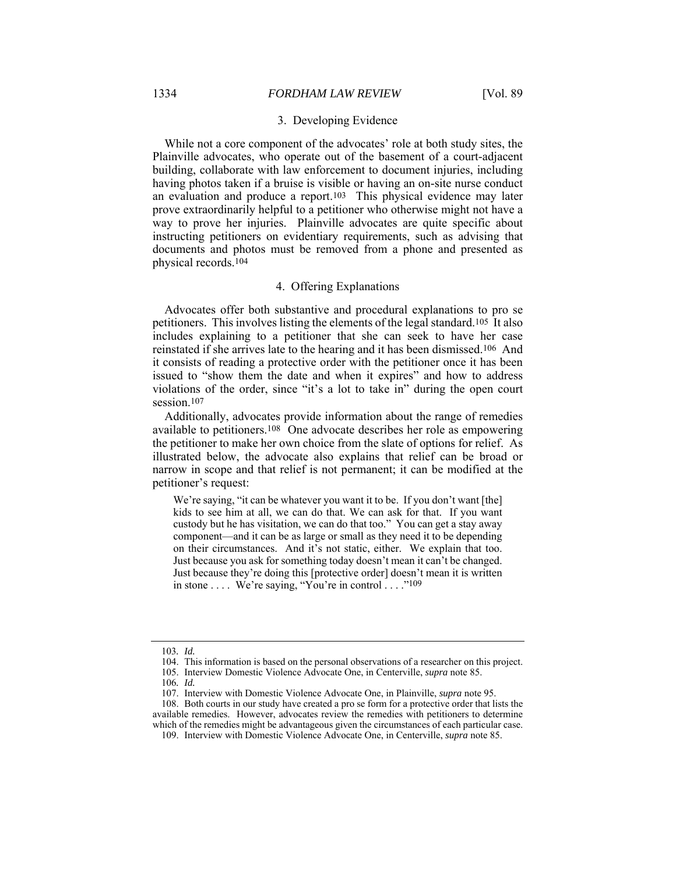#### 3. Developing Evidence

While not a core component of the advocates' role at both study sites, the Plainville advocates, who operate out of the basement of a court-adjacent building, collaborate with law enforcement to document injuries, including having photos taken if a bruise is visible or having an on-site nurse conduct an evaluation and produce a report.103 This physical evidence may later prove extraordinarily helpful to a petitioner who otherwise might not have a way to prove her injuries. Plainville advocates are quite specific about instructing petitioners on evidentiary requirements, such as advising that documents and photos must be removed from a phone and presented as physical records.104

#### 4. Offering Explanations

Advocates offer both substantive and procedural explanations to pro se petitioners. This involves listing the elements of the legal standard.105 It also includes explaining to a petitioner that she can seek to have her case reinstated if she arrives late to the hearing and it has been dismissed.106 And it consists of reading a protective order with the petitioner once it has been issued to "show them the date and when it expires" and how to address violations of the order, since "it's a lot to take in" during the open court session.<sup>107</sup>

Additionally, advocates provide information about the range of remedies available to petitioners.108 One advocate describes her role as empowering the petitioner to make her own choice from the slate of options for relief. As illustrated below, the advocate also explains that relief can be broad or narrow in scope and that relief is not permanent; it can be modified at the petitioner's request:

We're saying, "it can be whatever you want it to be. If you don't want [the] kids to see him at all, we can do that. We can ask for that. If you want custody but he has visitation, we can do that too." You can get a stay away component—and it can be as large or small as they need it to be depending on their circumstances. And it's not static, either. We explain that too. Just because you ask for something today doesn't mean it can't be changed. Just because they're doing this [protective order] doesn't mean it is written in stone  $\dots$ . We're saying, "You're in control  $\dots$ ."109

<sup>103</sup>*. Id.*

 <sup>104.</sup> This information is based on the personal observations of a researcher on this project.

 <sup>105.</sup> Interview Domestic Violence Advocate One, in Centerville, *supra* note 85.

<sup>106</sup>*. Id.*

 <sup>107.</sup> Interview with Domestic Violence Advocate One, in Plainville, *supra* note 95.

 <sup>108.</sup> Both courts in our study have created a pro se form for a protective order that lists the available remedies. However, advocates review the remedies with petitioners to determine which of the remedies might be advantageous given the circumstances of each particular case.

 <sup>109.</sup> Interview with Domestic Violence Advocate One, in Centerville, *supra* note 85.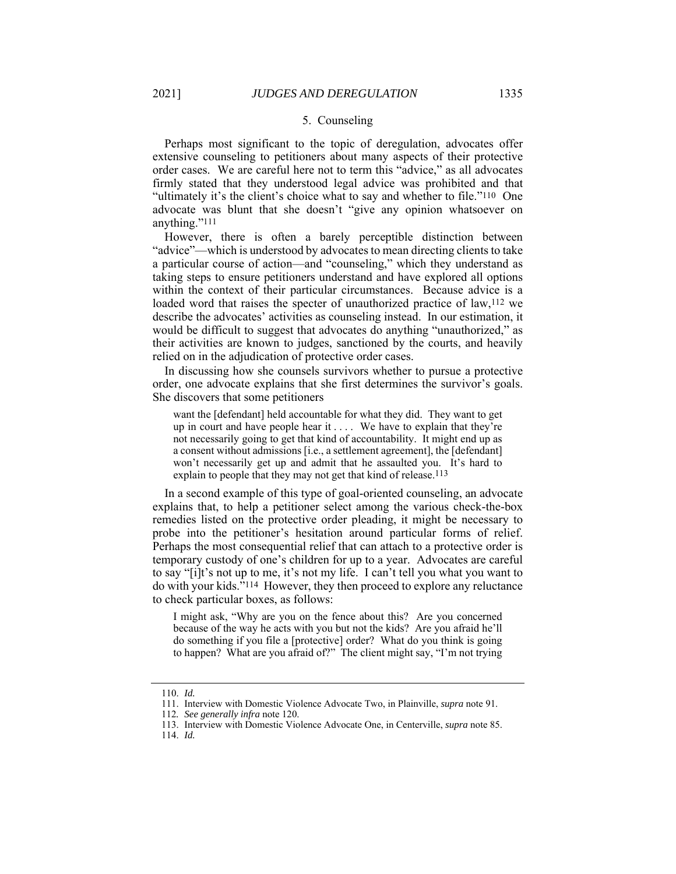#### 5. Counseling

Perhaps most significant to the topic of deregulation, advocates offer extensive counseling to petitioners about many aspects of their protective order cases. We are careful here not to term this "advice," as all advocates firmly stated that they understood legal advice was prohibited and that "ultimately it's the client's choice what to say and whether to file."110 One advocate was blunt that she doesn't "give any opinion whatsoever on anything."111

However, there is often a barely perceptible distinction between "advice"—which is understood by advocates to mean directing clients to take a particular course of action—and "counseling," which they understand as taking steps to ensure petitioners understand and have explored all options within the context of their particular circumstances. Because advice is a loaded word that raises the specter of unauthorized practice of law,<sup>112</sup> we describe the advocates' activities as counseling instead. In our estimation, it would be difficult to suggest that advocates do anything "unauthorized," as their activities are known to judges, sanctioned by the courts, and heavily relied on in the adjudication of protective order cases.

In discussing how she counsels survivors whether to pursue a protective order, one advocate explains that she first determines the survivor's goals. She discovers that some petitioners

want the [defendant] held accountable for what they did. They want to get up in court and have people hear it . . . . We have to explain that they're not necessarily going to get that kind of accountability. It might end up as a consent without admissions [i.e., a settlement agreement], the [defendant] won't necessarily get up and admit that he assaulted you. It's hard to explain to people that they may not get that kind of release.<sup>113</sup>

In a second example of this type of goal-oriented counseling, an advocate explains that, to help a petitioner select among the various check-the-box remedies listed on the protective order pleading, it might be necessary to probe into the petitioner's hesitation around particular forms of relief. Perhaps the most consequential relief that can attach to a protective order is temporary custody of one's children for up to a year. Advocates are careful to say "[i]t's not up to me, it's not my life. I can't tell you what you want to do with your kids."114 However, they then proceed to explore any reluctance to check particular boxes, as follows:

I might ask, "Why are you on the fence about this? Are you concerned because of the way he acts with you but not the kids? Are you afraid he'll do something if you file a [protective] order? What do you think is going to happen? What are you afraid of?" The client might say, "I'm not trying

 <sup>110.</sup> *Id.*

 <sup>111.</sup> Interview with Domestic Violence Advocate Two, in Plainville, *supra* note 91.

<sup>112</sup>*. See generally infra* note 120.

 <sup>113.</sup> Interview with Domestic Violence Advocate One, in Centerville, *supra* note 85.

 <sup>114.</sup> *Id.*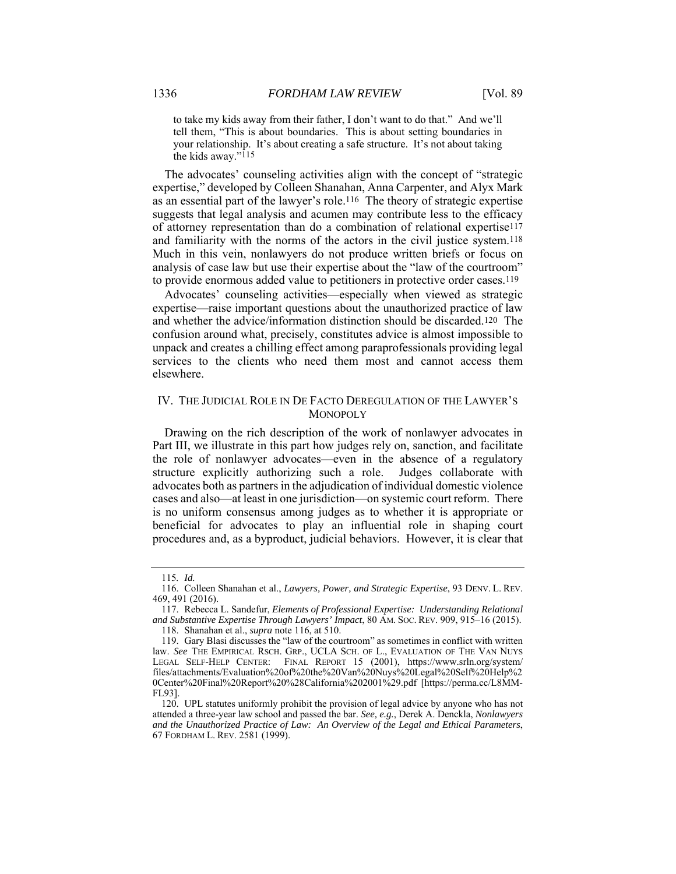to take my kids away from their father, I don't want to do that." And we'll tell them, "This is about boundaries. This is about setting boundaries in your relationship. It's about creating a safe structure. It's not about taking the kids away."115

The advocates' counseling activities align with the concept of "strategic expertise," developed by Colleen Shanahan, Anna Carpenter, and Alyx Mark as an essential part of the lawyer's role.116 The theory of strategic expertise suggests that legal analysis and acumen may contribute less to the efficacy of attorney representation than do a combination of relational expertise117 and familiarity with the norms of the actors in the civil justice system.118 Much in this vein, nonlawyers do not produce written briefs or focus on analysis of case law but use their expertise about the "law of the courtroom" to provide enormous added value to petitioners in protective order cases.119

Advocates' counseling activities—especially when viewed as strategic expertise—raise important questions about the unauthorized practice of law and whether the advice/information distinction should be discarded.120 The confusion around what, precisely, constitutes advice is almost impossible to unpack and creates a chilling effect among paraprofessionals providing legal services to the clients who need them most and cannot access them elsewhere.

### IV. THE JUDICIAL ROLE IN DE FACTO DEREGULATION OF THE LAWYER'S **MONOPOLY**

Drawing on the rich description of the work of nonlawyer advocates in Part III, we illustrate in this part how judges rely on, sanction, and facilitate the role of nonlawyer advocates—even in the absence of a regulatory structure explicitly authorizing such a role. Judges collaborate with advocates both as partners in the adjudication of individual domestic violence cases and also—at least in one jurisdiction—on systemic court reform. There is no uniform consensus among judges as to whether it is appropriate or beneficial for advocates to play an influential role in shaping court procedures and, as a byproduct, judicial behaviors. However, it is clear that

<sup>115</sup>*. Id.*

 <sup>116.</sup> Colleen Shanahan et al., *Lawyers, Power, and Strategic Expertise*, 93 DENV. L. REV. 469, 491 (2016).

 <sup>117.</sup> Rebecca L. Sandefur, *Elements of Professional Expertise: Understanding Relational and Substantive Expertise Through Lawyers' Impact*, 80 AM. SOC. REV. 909, 915–16 (2015). 118. Shanahan et al., *supra* note 116, at 510.

 <sup>119.</sup> Gary Blasi discusses the "law of the courtroom" as sometimes in conflict with written

law. *See* THE EMPIRICAL RSCH. GRP., UCLA SCH. OF L., EVALUATION OF THE VAN NUYS LEGAL SELF-HELP CENTER: FINAL REPORT 15 (2001), https://www.srln.org/system/ files/attachments/Evaluation%20of%20the%20Van%20Nuys%20Legal%20Self%20Help%2 0Center%20Final%20Report%20%28California%202001%29.pdf [https://perma.cc/L8MM-FL93].

 <sup>120.</sup> UPL statutes uniformly prohibit the provision of legal advice by anyone who has not attended a three-year law school and passed the bar. *See, e.g.*, Derek A. Denckla, *Nonlawyers and the Unauthorized Practice of Law: An Overview of the Legal and Ethical Parameters*, 67 FORDHAM L. REV. 2581 (1999).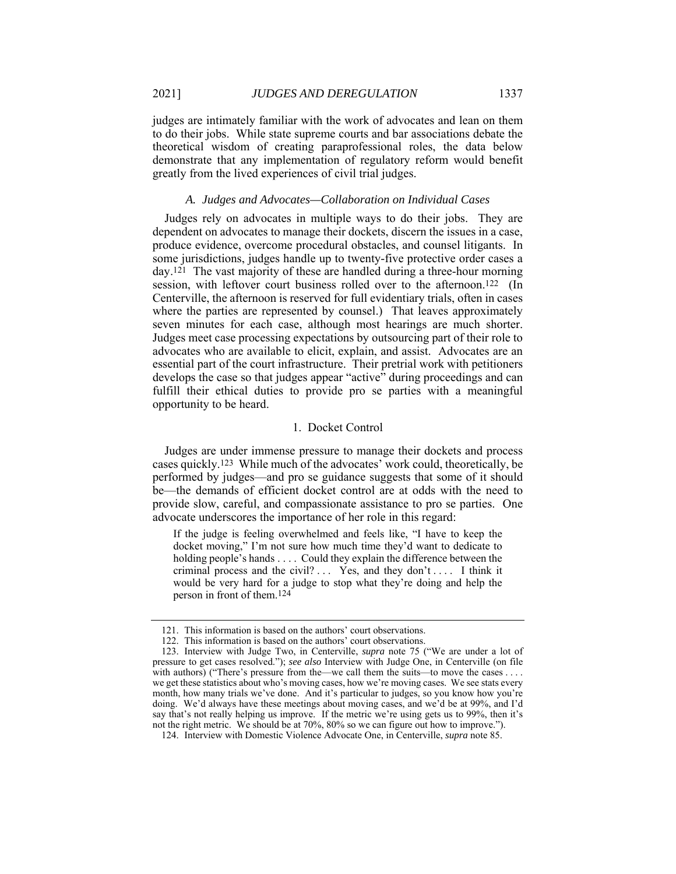judges are intimately familiar with the work of advocates and lean on them to do their jobs. While state supreme courts and bar associations debate the theoretical wisdom of creating paraprofessional roles, the data below demonstrate that any implementation of regulatory reform would benefit greatly from the lived experiences of civil trial judges.

#### *A. Judges and Advocates—Collaboration on Individual Cases*

Judges rely on advocates in multiple ways to do their jobs. They are dependent on advocates to manage their dockets, discern the issues in a case, produce evidence, overcome procedural obstacles, and counsel litigants. In some jurisdictions, judges handle up to twenty-five protective order cases a day.121 The vast majority of these are handled during a three-hour morning session, with leftover court business rolled over to the afternoon.<sup>122</sup> (In Centerville, the afternoon is reserved for full evidentiary trials, often in cases where the parties are represented by counsel.) That leaves approximately seven minutes for each case, although most hearings are much shorter. Judges meet case processing expectations by outsourcing part of their role to advocates who are available to elicit, explain, and assist. Advocates are an essential part of the court infrastructure. Their pretrial work with petitioners develops the case so that judges appear "active" during proceedings and can fulfill their ethical duties to provide pro se parties with a meaningful opportunity to be heard.

#### 1. Docket Control

Judges are under immense pressure to manage their dockets and process cases quickly.123 While much of the advocates' work could, theoretically, be performed by judges—and pro se guidance suggests that some of it should be—the demands of efficient docket control are at odds with the need to provide slow, careful, and compassionate assistance to pro se parties. One advocate underscores the importance of her role in this regard:

If the judge is feeling overwhelmed and feels like, "I have to keep the docket moving," I'm not sure how much time they'd want to dedicate to holding people's hands . . . . Could they explain the difference between the criminal process and the civil? . . . Yes, and they don't . . . . I think it would be very hard for a judge to stop what they're doing and help the person in front of them.124

 <sup>121.</sup> This information is based on the authors' court observations.

 <sup>122.</sup> This information is based on the authors' court observations.

 <sup>123.</sup> Interview with Judge Two, in Centerville, *supra* note 75 ("We are under a lot of pressure to get cases resolved."); *see also* Interview with Judge One, in Centerville (on file with authors) ("There's pressure from the—we call them the suits—to move the cases . . . . we get these statistics about who's moving cases, how we're moving cases. We see stats every month, how many trials we've done. And it's particular to judges, so you know how you're doing. We'd always have these meetings about moving cases, and we'd be at 99%, and I'd say that's not really helping us improve. If the metric we're using gets us to 99%, then it's not the right metric. We should be at 70%, 80% so we can figure out how to improve.").

 <sup>124.</sup> Interview with Domestic Violence Advocate One, in Centerville, *supra* note 85.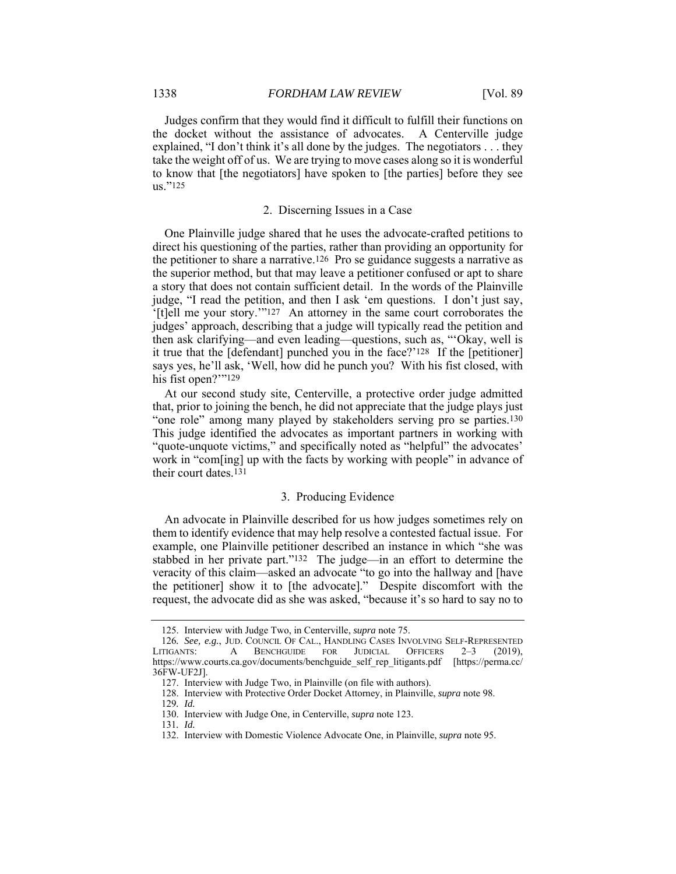Judges confirm that they would find it difficult to fulfill their functions on the docket without the assistance of advocates. A Centerville judge explained, "I don't think it's all done by the judges. The negotiators . . . they take the weight off of us. We are trying to move cases along so it is wonderful to know that [the negotiators] have spoken to [the parties] before they see us."125

#### 2. Discerning Issues in a Case

One Plainville judge shared that he uses the advocate-crafted petitions to direct his questioning of the parties, rather than providing an opportunity for the petitioner to share a narrative.126 Pro se guidance suggests a narrative as the superior method, but that may leave a petitioner confused or apt to share a story that does not contain sufficient detail. In the words of the Plainville judge, "I read the petition, and then I ask 'em questions. I don't just say, '[t]ell me your story.'"127 An attorney in the same court corroborates the judges' approach, describing that a judge will typically read the petition and then ask clarifying—and even leading—questions, such as, "'Okay, well is it true that the [defendant] punched you in the face?'128 If the [petitioner] says yes, he'll ask, 'Well, how did he punch you? With his fist closed, with his fist open?""<sup>129</sup>

At our second study site, Centerville, a protective order judge admitted that, prior to joining the bench, he did not appreciate that the judge plays just "one role" among many played by stakeholders serving pro se parties.130 This judge identified the advocates as important partners in working with "quote-unquote victims," and specifically noted as "helpful" the advocates' work in "com[ing] up with the facts by working with people" in advance of their court dates.131

#### 3. Producing Evidence

An advocate in Plainville described for us how judges sometimes rely on them to identify evidence that may help resolve a contested factual issue. For example, one Plainville petitioner described an instance in which "she was stabbed in her private part."132 The judge—in an effort to determine the veracity of this claim—asked an advocate "to go into the hallway and [have the petitioner] show it to [the advocate]." Despite discomfort with the request, the advocate did as she was asked, "because it's so hard to say no to

 <sup>125.</sup> Interview with Judge Two, in Centerville, *supra* note 75.

<sup>126</sup>*. See, e.g.*, JUD. COUNCIL OF CAL., HANDLING CASES INVOLVING SELF-REPRESENTED LITIGANTS: A BENCHGUIDE FOR JUDICIAL OFFICERS 2–3 (2019), https://www.courts.ca.gov/documents/benchguide\_self\_rep\_litigants.pdf [https://perma.cc/ 36FW-UF2J].

 <sup>127.</sup> Interview with Judge Two, in Plainville (on file with authors).

 <sup>128.</sup> Interview with Protective Order Docket Attorney, in Plainville, *supra* note 98.

<sup>129</sup>*. Id.*

 <sup>130.</sup> Interview with Judge One, in Centerville, *supra* note 123.

<sup>131</sup>*. Id.* 

 <sup>132.</sup> Interview with Domestic Violence Advocate One, in Plainville, *supra* note 95.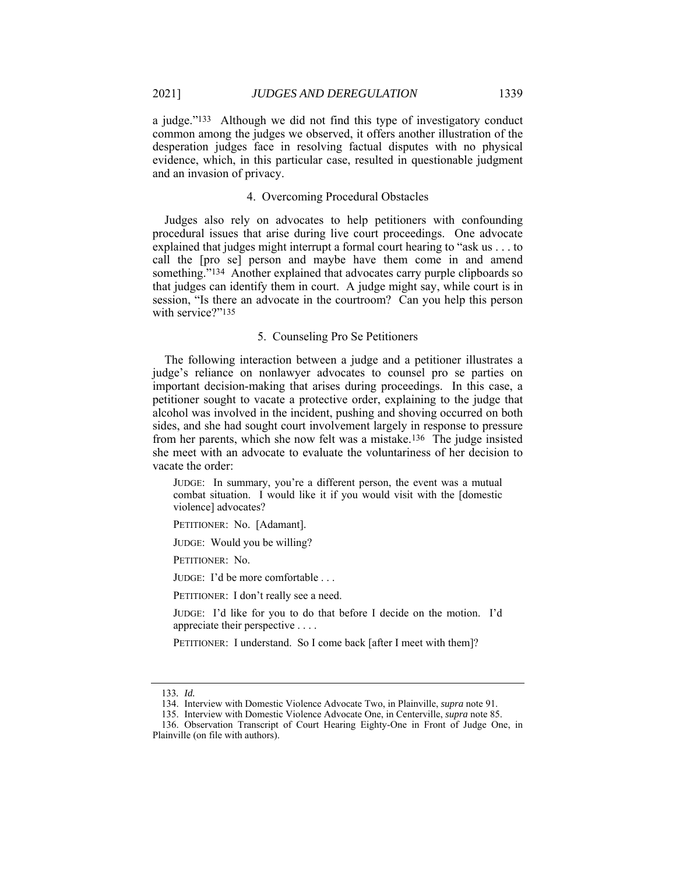a judge."133 Although we did not find this type of investigatory conduct common among the judges we observed, it offers another illustration of the desperation judges face in resolving factual disputes with no physical evidence, which, in this particular case, resulted in questionable judgment and an invasion of privacy.

#### 4. Overcoming Procedural Obstacles

Judges also rely on advocates to help petitioners with confounding procedural issues that arise during live court proceedings. One advocate explained that judges might interrupt a formal court hearing to "ask us . . . to call the [pro se] person and maybe have them come in and amend something."<sup>134</sup> Another explained that advocates carry purple clipboards so that judges can identify them in court. A judge might say, while court is in session, "Is there an advocate in the courtroom? Can you help this person with service?"135

#### 5. Counseling Pro Se Petitioners

The following interaction between a judge and a petitioner illustrates a judge's reliance on nonlawyer advocates to counsel pro se parties on important decision-making that arises during proceedings. In this case, a petitioner sought to vacate a protective order, explaining to the judge that alcohol was involved in the incident, pushing and shoving occurred on both sides, and she had sought court involvement largely in response to pressure from her parents, which she now felt was a mistake.136 The judge insisted she meet with an advocate to evaluate the voluntariness of her decision to vacate the order:

JUDGE: In summary, you're a different person, the event was a mutual combat situation. I would like it if you would visit with the [domestic violence] advocates?

PETITIONER: No. [Adamant].

JUDGE: Would you be willing?

PETITIONER: No.

JUDGE: I'd be more comfortable . . .

PETITIONER: I don't really see a need.

JUDGE: I'd like for you to do that before I decide on the motion. I'd appreciate their perspective . . . .

PETITIONER: I understand. So I come back [after I meet with them]?

<sup>133</sup>*. Id.*

 <sup>134.</sup> Interview with Domestic Violence Advocate Two, in Plainville, *supra* note 91.

 <sup>135.</sup> Interview with Domestic Violence Advocate One, in Centerville, *supra* note 85.

 <sup>136.</sup> Observation Transcript of Court Hearing Eighty-One in Front of Judge One, in Plainville (on file with authors).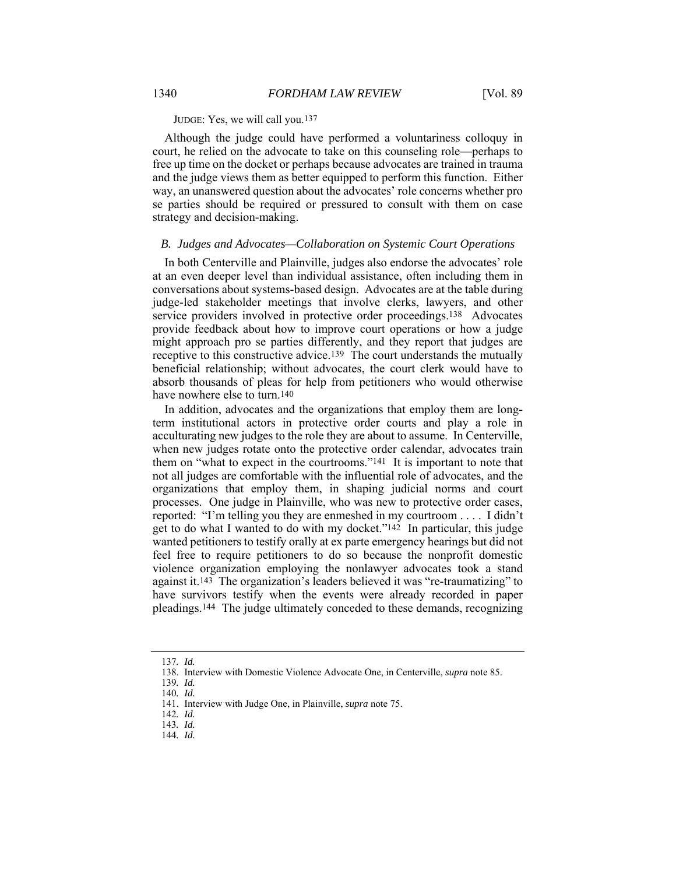JUDGE: Yes, we will call you.137

Although the judge could have performed a voluntariness colloquy in court, he relied on the advocate to take on this counseling role—perhaps to free up time on the docket or perhaps because advocates are trained in trauma and the judge views them as better equipped to perform this function. Either way, an unanswered question about the advocates' role concerns whether pro se parties should be required or pressured to consult with them on case strategy and decision-making.

#### *B. Judges and Advocates—Collaboration on Systemic Court Operations*

In both Centerville and Plainville, judges also endorse the advocates' role at an even deeper level than individual assistance, often including them in conversations about systems-based design. Advocates are at the table during judge-led stakeholder meetings that involve clerks, lawyers, and other service providers involved in protective order proceedings.<sup>138</sup> Advocates provide feedback about how to improve court operations or how a judge might approach pro se parties differently, and they report that judges are receptive to this constructive advice.139 The court understands the mutually beneficial relationship; without advocates, the court clerk would have to absorb thousands of pleas for help from petitioners who would otherwise have nowhere else to turn.140

In addition, advocates and the organizations that employ them are longterm institutional actors in protective order courts and play a role in acculturating new judges to the role they are about to assume. In Centerville, when new judges rotate onto the protective order calendar, advocates train them on "what to expect in the courtrooms."141 It is important to note that not all judges are comfortable with the influential role of advocates, and the organizations that employ them, in shaping judicial norms and court processes. One judge in Plainville, who was new to protective order cases, reported: "I'm telling you they are enmeshed in my courtroom . . . . I didn't get to do what I wanted to do with my docket."142 In particular, this judge wanted petitioners to testify orally at ex parte emergency hearings but did not feel free to require petitioners to do so because the nonprofit domestic violence organization employing the nonlawyer advocates took a stand against it.143 The organization's leaders believed it was "re-traumatizing" to have survivors testify when the events were already recorded in paper pleadings.144 The judge ultimately conceded to these demands, recognizing

<sup>137</sup>*. Id.*

 <sup>138.</sup> Interview with Domestic Violence Advocate One, in Centerville, *supra* note 85.

<sup>139</sup>*. Id.* 140*. Id.*

 <sup>141.</sup> Interview with Judge One, in Plainville, *supra* note 75.

<sup>142</sup>*. Id.*

<sup>143</sup>*. Id.*

<sup>144</sup>*. Id.*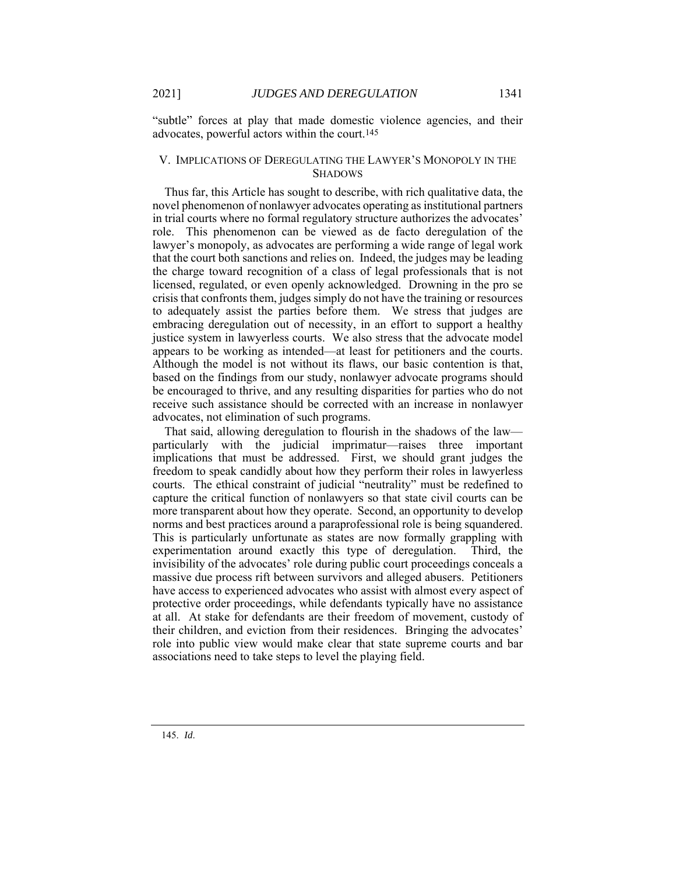"subtle" forces at play that made domestic violence agencies, and their advocates, powerful actors within the court.145

#### V. IMPLICATIONS OF DEREGULATING THE LAWYER'S MONOPOLY IN THE **SHADOWS**

Thus far, this Article has sought to describe, with rich qualitative data, the novel phenomenon of nonlawyer advocates operating as institutional partners in trial courts where no formal regulatory structure authorizes the advocates' role. This phenomenon can be viewed as de facto deregulation of the lawyer's monopoly, as advocates are performing a wide range of legal work that the court both sanctions and relies on. Indeed, the judges may be leading the charge toward recognition of a class of legal professionals that is not licensed, regulated, or even openly acknowledged. Drowning in the pro se crisis that confronts them, judges simply do not have the training or resources to adequately assist the parties before them. We stress that judges are embracing deregulation out of necessity, in an effort to support a healthy justice system in lawyerless courts. We also stress that the advocate model appears to be working as intended—at least for petitioners and the courts. Although the model is not without its flaws, our basic contention is that, based on the findings from our study, nonlawyer advocate programs should be encouraged to thrive, and any resulting disparities for parties who do not receive such assistance should be corrected with an increase in nonlawyer advocates, not elimination of such programs.

That said, allowing deregulation to flourish in the shadows of the law particularly with the judicial imprimatur—raises three important implications that must be addressed. First, we should grant judges the freedom to speak candidly about how they perform their roles in lawyerless courts. The ethical constraint of judicial "neutrality" must be redefined to capture the critical function of nonlawyers so that state civil courts can be more transparent about how they operate. Second, an opportunity to develop norms and best practices around a paraprofessional role is being squandered. This is particularly unfortunate as states are now formally grappling with experimentation around exactly this type of deregulation. Third, the invisibility of the advocates' role during public court proceedings conceals a massive due process rift between survivors and alleged abusers. Petitioners have access to experienced advocates who assist with almost every aspect of protective order proceedings, while defendants typically have no assistance at all. At stake for defendants are their freedom of movement, custody of their children, and eviction from their residences. Bringing the advocates' role into public view would make clear that state supreme courts and bar associations need to take steps to level the playing field.

145. *Id*.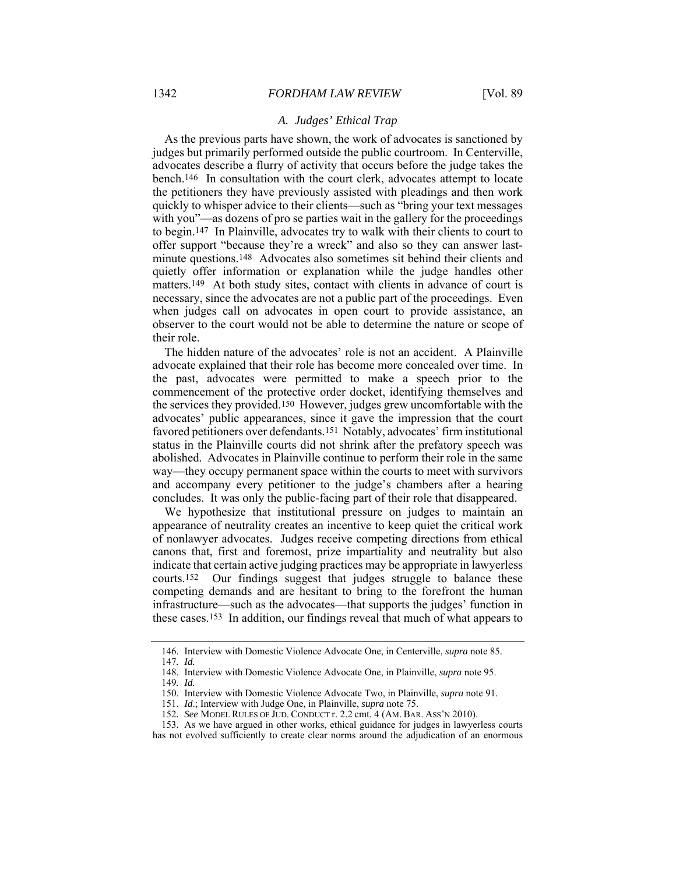#### *A. Judges' Ethical Trap*

As the previous parts have shown, the work of advocates is sanctioned by judges but primarily performed outside the public courtroom. In Centerville, advocates describe a flurry of activity that occurs before the judge takes the bench.<sup>146</sup> In consultation with the court clerk, advocates attempt to locate the petitioners they have previously assisted with pleadings and then work quickly to whisper advice to their clients—such as "bring your text messages with you"—as dozens of pro se parties wait in the gallery for the proceedings to begin.147 In Plainville, advocates try to walk with their clients to court to offer support "because they're a wreck" and also so they can answer lastminute questions.148 Advocates also sometimes sit behind their clients and quietly offer information or explanation while the judge handles other matters.<sup>149</sup> At both study sites, contact with clients in advance of court is necessary, since the advocates are not a public part of the proceedings. Even when judges call on advocates in open court to provide assistance, an observer to the court would not be able to determine the nature or scope of their role.

The hidden nature of the advocates' role is not an accident. A Plainville advocate explained that their role has become more concealed over time. In the past, advocates were permitted to make a speech prior to the commencement of the protective order docket, identifying themselves and the services they provided.150 However, judges grew uncomfortable with the advocates' public appearances, since it gave the impression that the court favored petitioners over defendants.151 Notably, advocates' firm institutional status in the Plainville courts did not shrink after the prefatory speech was abolished. Advocates in Plainville continue to perform their role in the same way—they occupy permanent space within the courts to meet with survivors and accompany every petitioner to the judge's chambers after a hearing concludes. It was only the public-facing part of their role that disappeared.

We hypothesize that institutional pressure on judges to maintain an appearance of neutrality creates an incentive to keep quiet the critical work of nonlawyer advocates. Judges receive competing directions from ethical canons that, first and foremost, prize impartiality and neutrality but also indicate that certain active judging practices may be appropriate in lawyerless courts.152 Our findings suggest that judges struggle to balance these competing demands and are hesitant to bring to the forefront the human infrastructure—such as the advocates—that supports the judges' function in these cases.153 In addition, our findings reveal that much of what appears to

 <sup>146.</sup> Interview with Domestic Violence Advocate One, in Centerville, *supra* note 85.

<sup>147</sup>*. Id.*

 <sup>148.</sup> Interview with Domestic Violence Advocate One, in Plainville, *supra* note 95.

<sup>149</sup>*. Id.*

 <sup>150.</sup> Interview with Domestic Violence Advocate Two, in Plainville, *supra* note 91.

 <sup>151.</sup> *Id*.; Interview with Judge One, in Plainville, *supra* note 75.

<sup>152</sup>*. See* MODEL RULES OF JUD. CONDUCT r. 2.2 cmt. 4 (AM. BAR. ASS'N 2010).

 <sup>153.</sup> As we have argued in other works, ethical guidance for judges in lawyerless courts has not evolved sufficiently to create clear norms around the adjudication of an enormous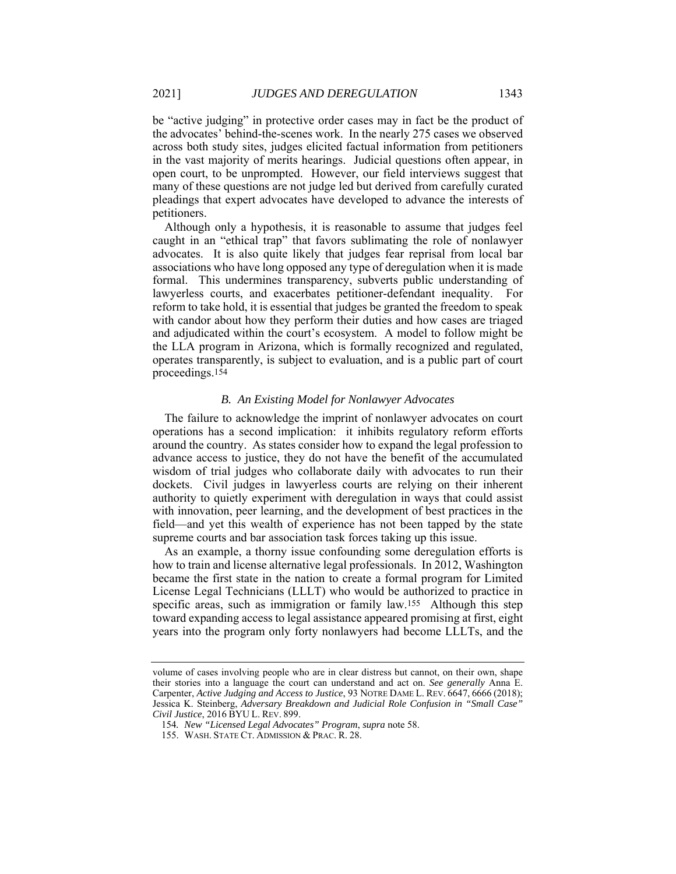be "active judging" in protective order cases may in fact be the product of the advocates' behind-the-scenes work. In the nearly 275 cases we observed across both study sites, judges elicited factual information from petitioners in the vast majority of merits hearings. Judicial questions often appear, in open court, to be unprompted. However, our field interviews suggest that many of these questions are not judge led but derived from carefully curated pleadings that expert advocates have developed to advance the interests of petitioners.

Although only a hypothesis, it is reasonable to assume that judges feel caught in an "ethical trap" that favors sublimating the role of nonlawyer advocates. It is also quite likely that judges fear reprisal from local bar associations who have long opposed any type of deregulation when it is made formal. This undermines transparency, subverts public understanding of lawyerless courts, and exacerbates petitioner-defendant inequality. For reform to take hold, it is essential that judges be granted the freedom to speak with candor about how they perform their duties and how cases are triaged and adjudicated within the court's ecosystem. A model to follow might be the LLA program in Arizona, which is formally recognized and regulated, operates transparently, is subject to evaluation, and is a public part of court proceedings.154

#### *B. An Existing Model for Nonlawyer Advocates*

The failure to acknowledge the imprint of nonlawyer advocates on court operations has a second implication: it inhibits regulatory reform efforts around the country. As states consider how to expand the legal profession to advance access to justice, they do not have the benefit of the accumulated wisdom of trial judges who collaborate daily with advocates to run their dockets. Civil judges in lawyerless courts are relying on their inherent authority to quietly experiment with deregulation in ways that could assist with innovation, peer learning, and the development of best practices in the field—and yet this wealth of experience has not been tapped by the state supreme courts and bar association task forces taking up this issue.

As an example, a thorny issue confounding some deregulation efforts is how to train and license alternative legal professionals. In 2012, Washington became the first state in the nation to create a formal program for Limited License Legal Technicians (LLLT) who would be authorized to practice in specific areas, such as immigration or family law.155 Although this step toward expanding access to legal assistance appeared promising at first, eight years into the program only forty nonlawyers had become LLLTs, and the

volume of cases involving people who are in clear distress but cannot, on their own, shape their stories into a language the court can understand and act on. *See generally* Anna E. Carpenter, *Active Judging and Access to Justice*, 93 NOTRE DAME L. REV. 6647, 6666 (2018); Jessica K. Steinberg, *Adversary Breakdown and Judicial Role Confusion in "Small Case" Civil Justice*, 2016 BYU L. REV. 899.

<sup>154</sup>*. New "Licensed Legal Advocates" Program*, *supra* note 58.

 <sup>155.</sup> WASH. STATE CT. ADMISSION & PRAC. R. 28.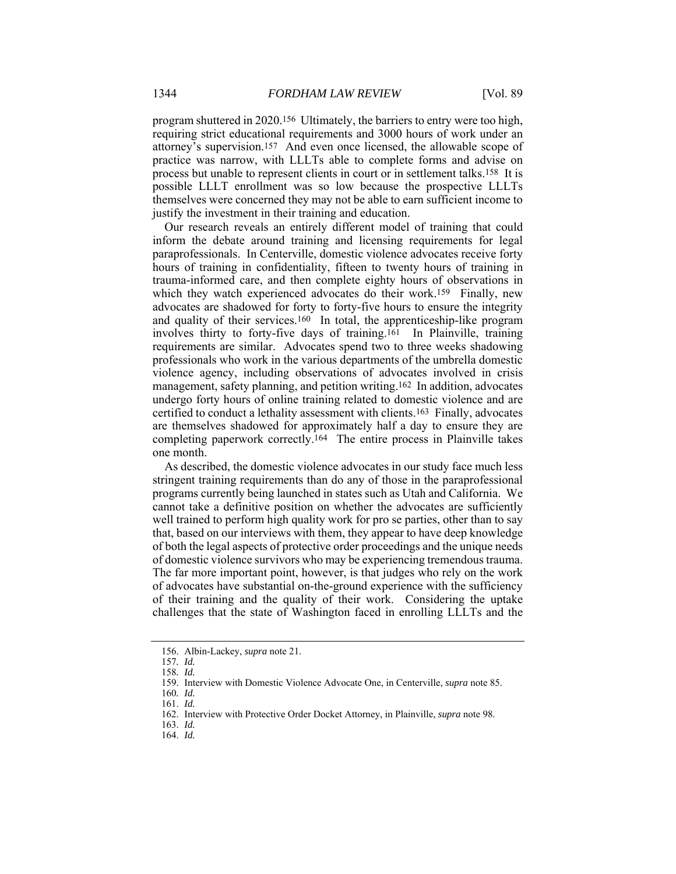program shuttered in 2020.156 Ultimately, the barriers to entry were too high, requiring strict educational requirements and 3000 hours of work under an attorney's supervision.157 And even once licensed, the allowable scope of practice was narrow, with LLLTs able to complete forms and advise on process but unable to represent clients in court or in settlement talks.158 It is possible LLLT enrollment was so low because the prospective LLLTs themselves were concerned they may not be able to earn sufficient income to justify the investment in their training and education.

Our research reveals an entirely different model of training that could inform the debate around training and licensing requirements for legal paraprofessionals. In Centerville, domestic violence advocates receive forty hours of training in confidentiality, fifteen to twenty hours of training in trauma-informed care, and then complete eighty hours of observations in which they watch experienced advocates do their work.<sup>159</sup> Finally, new advocates are shadowed for forty to forty-five hours to ensure the integrity and quality of their services.160 In total, the apprenticeship-like program involves thirty to forty-five days of training.161 In Plainville, training requirements are similar. Advocates spend two to three weeks shadowing professionals who work in the various departments of the umbrella domestic violence agency, including observations of advocates involved in crisis management, safety planning, and petition writing.162 In addition, advocates undergo forty hours of online training related to domestic violence and are certified to conduct a lethality assessment with clients.163 Finally, advocates are themselves shadowed for approximately half a day to ensure they are completing paperwork correctly.164 The entire process in Plainville takes one month.

As described, the domestic violence advocates in our study face much less stringent training requirements than do any of those in the paraprofessional programs currently being launched in states such as Utah and California. We cannot take a definitive position on whether the advocates are sufficiently well trained to perform high quality work for pro se parties, other than to say that, based on our interviews with them, they appear to have deep knowledge of both the legal aspects of protective order proceedings and the unique needs of domestic violence survivors who may be experiencing tremendous trauma. The far more important point, however, is that judges who rely on the work of advocates have substantial on-the-ground experience with the sufficiency of their training and the quality of their work. Considering the uptake challenges that the state of Washington faced in enrolling LLLTs and the

 <sup>156.</sup> Albin-Lackey, *supra* note 21.

<sup>157</sup>*. Id.*

<sup>158</sup>*. Id.*

 <sup>159.</sup> Interview with Domestic Violence Advocate One, in Centerville, *supra* note 85.

<sup>160</sup>*. Id.*

 <sup>161.</sup> *Id.*

 <sup>162.</sup> Interview with Protective Order Docket Attorney, in Plainville, *supra* note 98.

 <sup>163.</sup> *Id.* 

 <sup>164.</sup> *Id.*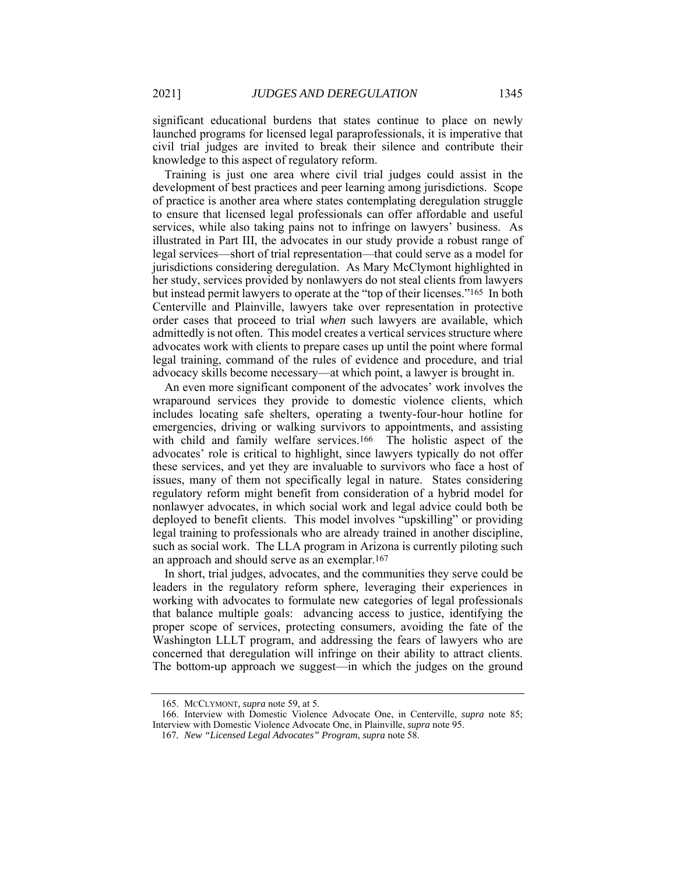significant educational burdens that states continue to place on newly launched programs for licensed legal paraprofessionals, it is imperative that civil trial judges are invited to break their silence and contribute their knowledge to this aspect of regulatory reform.

Training is just one area where civil trial judges could assist in the development of best practices and peer learning among jurisdictions. Scope of practice is another area where states contemplating deregulation struggle to ensure that licensed legal professionals can offer affordable and useful services, while also taking pains not to infringe on lawyers' business. As illustrated in Part III, the advocates in our study provide a robust range of legal services—short of trial representation—that could serve as a model for jurisdictions considering deregulation. As Mary McClymont highlighted in her study, services provided by nonlawyers do not steal clients from lawyers but instead permit lawyers to operate at the "top of their licenses."165 In both Centerville and Plainville, lawyers take over representation in protective order cases that proceed to trial *when* such lawyers are available, which admittedly is not often. This model creates a vertical services structure where advocates work with clients to prepare cases up until the point where formal legal training, command of the rules of evidence and procedure, and trial advocacy skills become necessary—at which point, a lawyer is brought in.

An even more significant component of the advocates' work involves the wraparound services they provide to domestic violence clients, which includes locating safe shelters, operating a twenty-four-hour hotline for emergencies, driving or walking survivors to appointments, and assisting with child and family welfare services.<sup>166</sup> The holistic aspect of the advocates' role is critical to highlight, since lawyers typically do not offer these services, and yet they are invaluable to survivors who face a host of issues, many of them not specifically legal in nature. States considering regulatory reform might benefit from consideration of a hybrid model for nonlawyer advocates, in which social work and legal advice could both be deployed to benefit clients. This model involves "upskilling" or providing legal training to professionals who are already trained in another discipline, such as social work. The LLA program in Arizona is currently piloting such an approach and should serve as an exemplar.167

In short, trial judges, advocates, and the communities they serve could be leaders in the regulatory reform sphere, leveraging their experiences in working with advocates to formulate new categories of legal professionals that balance multiple goals: advancing access to justice, identifying the proper scope of services, protecting consumers, avoiding the fate of the Washington LLLT program, and addressing the fears of lawyers who are concerned that deregulation will infringe on their ability to attract clients. The bottom-up approach we suggest—in which the judges on the ground

 <sup>165.</sup> MCCLYMONT, *supra* note 59, at 5.

 <sup>166.</sup> Interview with Domestic Violence Advocate One, in Centerville, *supra* note 85; Interview with Domestic Violence Advocate One, in Plainville, *supra* note 95.

<sup>167</sup>*. New "Licensed Legal Advocates" Program*, *supra* note 58.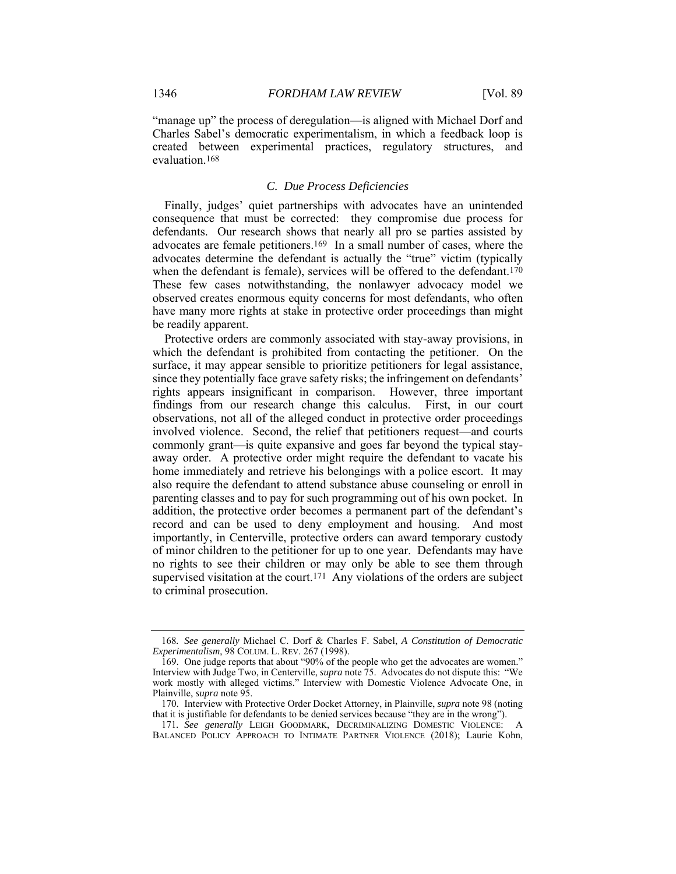"manage up" the process of deregulation—is aligned with Michael Dorf and Charles Sabel's democratic experimentalism, in which a feedback loop is created between experimental practices, regulatory structures, and evaluation.168

#### *C. Due Process Deficiencies*

Finally, judges' quiet partnerships with advocates have an unintended consequence that must be corrected: they compromise due process for defendants. Our research shows that nearly all pro se parties assisted by advocates are female petitioners.169 In a small number of cases, where the advocates determine the defendant is actually the "true" victim (typically when the defendant is female), services will be offered to the defendant.<sup>170</sup> These few cases notwithstanding, the nonlawyer advocacy model we observed creates enormous equity concerns for most defendants, who often have many more rights at stake in protective order proceedings than might be readily apparent.

Protective orders are commonly associated with stay-away provisions, in which the defendant is prohibited from contacting the petitioner. On the surface, it may appear sensible to prioritize petitioners for legal assistance, since they potentially face grave safety risks; the infringement on defendants' rights appears insignificant in comparison. However, three important findings from our research change this calculus. First, in our court observations, not all of the alleged conduct in protective order proceedings involved violence. Second, the relief that petitioners request—and courts commonly grant—is quite expansive and goes far beyond the typical stayaway order. A protective order might require the defendant to vacate his home immediately and retrieve his belongings with a police escort. It may also require the defendant to attend substance abuse counseling or enroll in parenting classes and to pay for such programming out of his own pocket. In addition, the protective order becomes a permanent part of the defendant's record and can be used to deny employment and housing. And most importantly, in Centerville, protective orders can award temporary custody of minor children to the petitioner for up to one year. Defendants may have no rights to see their children or may only be able to see them through supervised visitation at the court.<sup>171</sup> Any violations of the orders are subject to criminal prosecution.

<sup>168</sup>*. See generally* Michael C. Dorf & Charles F. Sabel, *A Constitution of Democratic Experimentalism*, 98 COLUM. L. REV. 267 (1998).

 <sup>169.</sup> One judge reports that about "90% of the people who get the advocates are women." Interview with Judge Two, in Centerville, *supra* note 75. Advocates do not dispute this: "We work mostly with alleged victims." Interview with Domestic Violence Advocate One, in Plainville, *supra* note 95.

 <sup>170.</sup> Interview with Protective Order Docket Attorney, in Plainville, *supra* note 98 (noting that it is justifiable for defendants to be denied services because "they are in the wrong").

<sup>171</sup>*. See generally* LEIGH GOODMARK, DECRIMINALIZING DOMESTIC VIOLENCE: A BALANCED POLICY APPROACH TO INTIMATE PARTNER VIOLENCE (2018); Laurie Kohn,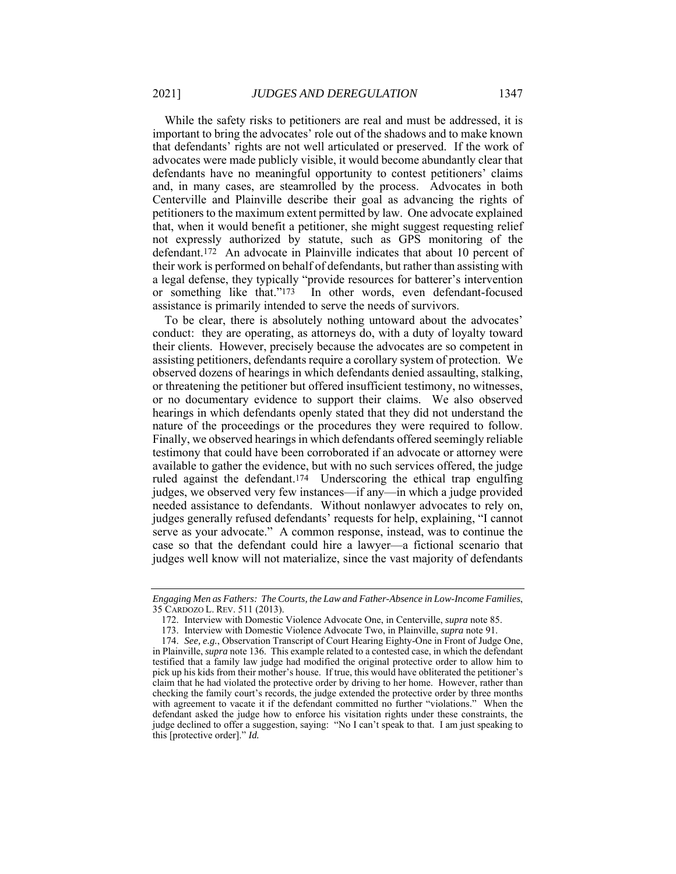While the safety risks to petitioners are real and must be addressed, it is important to bring the advocates' role out of the shadows and to make known that defendants' rights are not well articulated or preserved. If the work of advocates were made publicly visible, it would become abundantly clear that defendants have no meaningful opportunity to contest petitioners' claims and, in many cases, are steamrolled by the process. Advocates in both Centerville and Plainville describe their goal as advancing the rights of petitioners to the maximum extent permitted by law. One advocate explained that, when it would benefit a petitioner, she might suggest requesting relief not expressly authorized by statute, such as GPS monitoring of the defendant.172 An advocate in Plainville indicates that about 10 percent of their work is performed on behalf of defendants, but rather than assisting with a legal defense, they typically "provide resources for batterer's intervention or something like that."173 In other words, even defendant-focused assistance is primarily intended to serve the needs of survivors.

To be clear, there is absolutely nothing untoward about the advocates' conduct: they are operating, as attorneys do, with a duty of loyalty toward their clients. However, precisely because the advocates are so competent in assisting petitioners, defendants require a corollary system of protection. We observed dozens of hearings in which defendants denied assaulting, stalking, or threatening the petitioner but offered insufficient testimony, no witnesses, or no documentary evidence to support their claims. We also observed hearings in which defendants openly stated that they did not understand the nature of the proceedings or the procedures they were required to follow. Finally, we observed hearings in which defendants offered seemingly reliable testimony that could have been corroborated if an advocate or attorney were available to gather the evidence, but with no such services offered, the judge ruled against the defendant.174 Underscoring the ethical trap engulfing judges, we observed very few instances—if any—in which a judge provided needed assistance to defendants. Without nonlawyer advocates to rely on, judges generally refused defendants' requests for help, explaining, "I cannot serve as your advocate." A common response, instead, was to continue the case so that the defendant could hire a lawyer—a fictional scenario that judges well know will not materialize, since the vast majority of defendants

*Engaging Men as Fathers: The Courts, the Law and Father-Absence in Low-Income Families*, 35 CARDOZO L. REV. 511 (2013).

 <sup>172.</sup> Interview with Domestic Violence Advocate One, in Centerville, *supra* note 85.

 <sup>173.</sup> Interview with Domestic Violence Advocate Two, in Plainville, *supra* note 91.

 <sup>174.</sup> *See, e.g.*, Observation Transcript of Court Hearing Eighty-One in Front of Judge One, in Plainville, *supra* note 136. This example related to a contested case, in which the defendant testified that a family law judge had modified the original protective order to allow him to pick up his kids from their mother's house. If true, this would have obliterated the petitioner's claim that he had violated the protective order by driving to her home. However, rather than checking the family court's records, the judge extended the protective order by three months with agreement to vacate it if the defendant committed no further "violations." When the defendant asked the judge how to enforce his visitation rights under these constraints, the judge declined to offer a suggestion, saying: "No I can't speak to that. I am just speaking to this [protective order]." *Id.*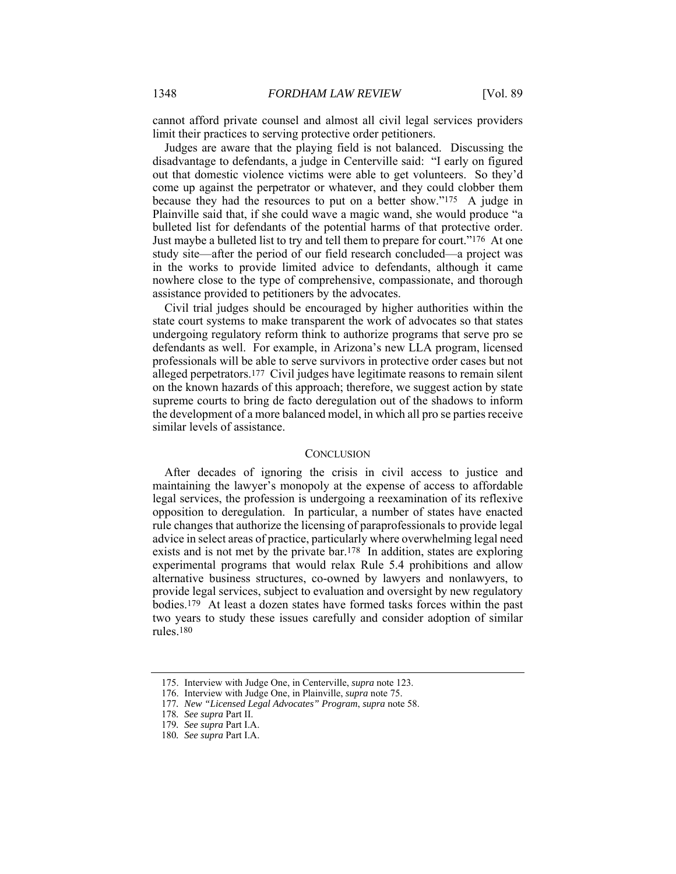cannot afford private counsel and almost all civil legal services providers limit their practices to serving protective order petitioners.

Judges are aware that the playing field is not balanced. Discussing the disadvantage to defendants, a judge in Centerville said: "I early on figured out that domestic violence victims were able to get volunteers. So they'd come up against the perpetrator or whatever, and they could clobber them because they had the resources to put on a better show."175 A judge in Plainville said that, if she could wave a magic wand, she would produce "a bulleted list for defendants of the potential harms of that protective order. Just maybe a bulleted list to try and tell them to prepare for court."176 At one study site—after the period of our field research concluded—a project was in the works to provide limited advice to defendants, although it came nowhere close to the type of comprehensive, compassionate, and thorough assistance provided to petitioners by the advocates.

Civil trial judges should be encouraged by higher authorities within the state court systems to make transparent the work of advocates so that states undergoing regulatory reform think to authorize programs that serve pro se defendants as well. For example, in Arizona's new LLA program, licensed professionals will be able to serve survivors in protective order cases but not alleged perpetrators.177 Civil judges have legitimate reasons to remain silent on the known hazards of this approach; therefore, we suggest action by state supreme courts to bring de facto deregulation out of the shadows to inform the development of a more balanced model, in which all pro se parties receive similar levels of assistance.

#### **CONCLUSION**

After decades of ignoring the crisis in civil access to justice and maintaining the lawyer's monopoly at the expense of access to affordable legal services, the profession is undergoing a reexamination of its reflexive opposition to deregulation. In particular, a number of states have enacted rule changes that authorize the licensing of paraprofessionals to provide legal advice in select areas of practice, particularly where overwhelming legal need exists and is not met by the private bar.178 In addition, states are exploring experimental programs that would relax Rule 5.4 prohibitions and allow alternative business structures, co-owned by lawyers and nonlawyers, to provide legal services, subject to evaluation and oversight by new regulatory bodies.179 At least a dozen states have formed tasks forces within the past two years to study these issues carefully and consider adoption of similar rules.180

 <sup>175.</sup> Interview with Judge One, in Centerville, *supra* note 123.

 <sup>176.</sup> Interview with Judge One, in Plainville, *supra* note 75.

<sup>177</sup>*. New "Licensed Legal Advocates" Program*, *supra* note 58.

<sup>178</sup>*. See supra* Part II.

<sup>179</sup>*. See supra* Part I.A.

<sup>180</sup>*. See supra* Part I.A.